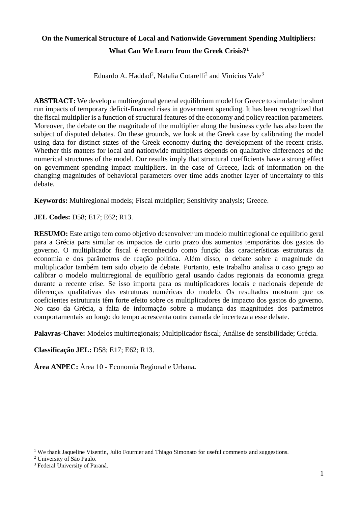## **On the Numerical Structure of Local and Nationwide Government Spending Multipliers: What Can We Learn from the Greek Crisis?<sup>1</sup>**

Eduardo A. Haddad<sup>2</sup>, Natalia Cotarelli<sup>2</sup> and Vinicius Vale<sup>3</sup>

**ABSTRACT:** We develop a multiregional general equilibrium model for Greece to simulate the short run impacts of temporary deficit-financed rises in government spending. It has been recognized that the fiscal multiplier is a function of structural features of the economy and policy reaction parameters. Moreover, the debate on the magnitude of the multiplier along the business cycle has also been the subject of disputed debates. On these grounds, we look at the Greek case by calibrating the model using data for distinct states of the Greek economy during the development of the recent crisis. Whether this matters for local and nationwide multipliers depends on qualitative differences of the numerical structures of the model. Our results imply that structural coefficients have a strong effect on government spending impact multipliers. In the case of Greece, lack of information on the changing magnitudes of behavioral parameters over time adds another layer of uncertainty to this debate.

**Keywords:** Multiregional models; Fiscal multiplier; Sensitivity analysis; Greece.

**JEL Codes:** D58; E17; E62; R13.

**RESUMO:** Este artigo tem como objetivo desenvolver um modelo multirregional de equilíbrio geral para a Grécia para simular os impactos de curto prazo dos aumentos temporários dos gastos do governo. O multiplicador fiscal é reconhecido como função das características estruturais da economia e dos parâmetros de reação política. Além disso, o debate sobre a magnitude do multiplicador também tem sido objeto de debate. Portanto, este trabalho analisa o caso grego ao calibrar o modelo multirregional de equilíbrio geral usando dados regionais da economia grega durante a recente crise. Se isso importa para os multiplicadores locais e nacionais depende de diferenças qualitativas das estruturas numéricas do modelo. Os resultados mostram que os coeficientes estruturais têm forte efeito sobre os multiplicadores de impacto dos gastos do governo. No caso da Grécia, a falta de informação sobre a mudança das magnitudes dos parâmetros comportamentais ao longo do tempo acrescenta outra camada de incerteza a esse debate.

**Palavras-Chave:** Modelos multirregionais; Multiplicador fiscal; Análise de sensibilidade; Grécia.

**Classificação JEL:** D58; E17; E62; R13.

**Área ANPEC:** Área 10 - Economia Regional e Urbana**.**

<u>.</u>

<sup>&</sup>lt;sup>1</sup> We thank Jaqueline Visentin, Julio Fournier and Thiago Simonato for useful comments and suggestions.

<sup>2</sup> University of São Paulo.

<sup>3</sup> Federal University of Paraná.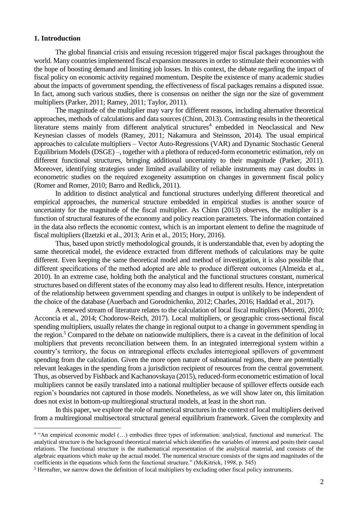## **1. Introduction**

The global financial crisis and ensuing recession triggered major fiscal packages throughout the world. Many countries implemented fiscal expansion measures in order to stimulate their economies with the hope of boosting demand and limiting job losses. In this context, the debate regarding the impact of fiscal policy on economic activity regained momentum. Despite the existence of many academic studies about the impacts of government spending, the effectiveness of fiscal packages remains a disputed issue. In fact, among such various studies, there is consensus on neither the sign nor the size of government multipliers (Parker, 2011; Ramey, 2011; Taylor, 2011).

The magnitude of the multiplier may vary for different reasons, including alternative theoretical approaches, methods of calculations and data sources (Chinn, 2013). Contrasting results in the theoretical literature stems mainly from different analytical structures<sup>4</sup> embedded in Neoclassical and New Keynesian classes of models (Ramey, 2011; Nakamura and Steinsson, 2014). The usual empirical approaches to calculate multipliers – Vector Auto-Regressions (VAR) and Dynamic Stochastic General Equilibrium Models (DSGE) –, together with a plethora of reduced-form econometric estimation, rely on different functional structures, bringing additional uncertainty to their magnitude (Parker, 2011). Moreover, identifying strategies under limited availability of reliable instruments may cast doubts in econometric studies on the required exogeneity assumption on changes in government fiscal policy (Romer and Romer, 2010; Barro and Redlick, 2011).

In addition to distinct analytical and functional structures underlying different theoretical and empirical approaches, the numerical structure embedded in empirical studies is another source of uncertainty for the magnitude of the fiscal multiplier. As Chinn (2013) observes, the multiplier is a function of structural features of the economy and policy reaction parameters. The information contained in the data also reflects the economic context, which is an important element to define the magnitude of fiscal multipliers (Ilzetzki et al., 2013; Arin et al., 2015; Hory, 2016).

Thus, based upon strictly methodological grounds, it is understandable that, even by adopting the same theoretical model, the evidence extracted from different methods of calculations may be quite different. Even keeping the same theoretical model and method of investigation, it is also possible that different specifications of the method adopted are able to produce different outcomes (Almeida et al., 2010). In an extreme case, holding both the analytical and the functional structures constant, numerical structures based on different states of the economy may also lead to different results. Hence, interpretation of the relationship between government spending and changes in output is unlikely to be independent of the choice of the database (Auerbach and Gorodnichenko, 2012; Charles, 2016; Haddad et al., 2017).

A renewed stream of literature relates to the calculation of local fiscal multipliers (Moretti, 2010; Acconcia et al., 2014; Chodorow-Reich, 2017). Local multipliers, or geographic cross-sectional fiscal spending multipliers, usually relates the change in regional output to a change in government spending in the region.<sup>5</sup> Compared to the debate on nationwide multipliers, there is a caveat in the definition of local multipliers that prevents reconciliation between them. In an integrated interregional system within a country's territory, the focus on intraregional effects excludes interregional spillovers of government spending from the calculation. Given the more open nature of subnational regions, there are potentially relevant leakages in the spending from a jurisdiction recipient of resources from the central government. Thus, as observed by Fishback and Kachanovskaya (2015), reduced-form econometric estimation of local multipliers cannot be easily translated into a national multiplier because of spillover effects outside each region's boundaries not captured in those models. Nonetheless, as we will show later on, this limitation does not exist in bottom-up multiregional structural models, at least in the short run.

In this paper, we explore the role of numerical structures in the context of local multipliers derived from a multiregional multisectoral structural general equilibrium framework. Given the complexity and

 4 "An empirical economic model (…) embodies three types of information: analytical, functional and numerical. The analytical structure is the background theoretical material which identifies the variables of interest and posits their causal relations. The functional structure is the mathematical representation of the analytical material, and consists of the algebraic equations which make up the actual model. The numerical structure consists of the signs and magnitudes of the coefficients in the equations which form the functional structure." (McKitrick, 1998, p. 545)

<sup>5</sup> Hereafter, we narrow down the definition of local multipliers by excluding other fiscal policy instruments.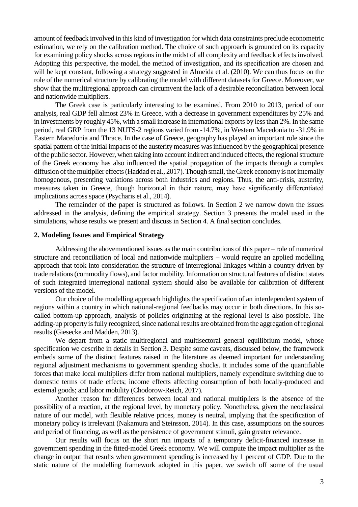amount of feedback involved in this kind of investigation for which data constraints preclude econometric estimation, we rely on the calibration method. The choice of such approach is grounded on its capacity for examining policy shocks across regions in the midst of all complexity and feedback effects involved. Adopting this perspective, the model, the method of investigation, and its specification are chosen and will be kept constant, following a strategy suggested in Almeida et al. (2010). We can thus focus on the role of the numerical structure by calibrating the model with different datasets for Greece. Moreover, we show that the multiregional approach can circumvent the lack of a desirable reconciliation between local and nationwide multipliers.

The Greek case is particularly interesting to be examined. From 2010 to 2013, period of our analysis, real GDP fell almost 23% in Greece, with a decrease in government expenditures by 25% and in investments by roughly 45%, with a small increase in international exports by less than 2%. In the same period, real GRP from the 13 NUTS-2 regions varied from -14.7%, in Western Macedonia to -31.9% in Eastern Macedonia and Thrace. In the case of Greece, geography has played an important role since the spatial pattern of the initial impacts of the austerity measures was influenced by the geographical presence of the public sector. However, when taking into account indirect and induced effects, the regional structure of the Greek economy has also influenced the spatial propagation of the impacts through a complex diffusion of the multiplier effects (Haddad et al., 2017). Though small, the Greek economy is not internally homogenous, presenting variations across both industries and regions. Thus, the anti-crisis, austerity, measures taken in Greece, though horizontal in their nature, may have significantly differentiated implications across space (Psycharis et al., 2014).

The remainder of the paper is structured as follows. In Section 2 we narrow down the issues addressed in the analysis, defining the empirical strategy. Section 3 presents the model used in the simulations, whose results we present and discuss in Section 4. A final section concludes.

### **2. Modeling Issues and Empirical Strategy**

Addressing the abovementioned issues as the main contributions of this paper – role of numerical structure and reconciliation of local and nationwide multipliers – would require an applied modelling approach that took into consideration the structure of interregional linkages within a country driven by trade relations (commodity flows), and factor mobility. Information on structural features of distinct states of such integrated interregional national system should also be available for calibration of different versions of the model.

Our choice of the modelling approach highlights the specification of an interdependent system of regions within a country in which national-regional feedbacks may occur in both directions. In this socalled bottom-up approach, analysis of policies originating at the regional level is also possible. The adding-up property is fully recognized, since national results are obtained from the aggregation of regional results (Giesecke and Madden, 2013).

We depart from a static multiregional and multisectoral general equilibrium model, whose specification we describe in details in Section 3. Despite some caveats, discussed below, the framework embeds some of the distinct features raised in the literature as deemed important for understanding regional adjustment mechanisms to government spending shocks. It includes some of the quantifiable forces that make local multipliers differ from national multipliers, namely expenditure switching due to domestic terms of trade effects; income effects affecting consumption of both locally-produced and external goods; and labor mobility (Chodorow-Reich, 2017).

Another reason for differences between local and national multipliers is the absence of the possibility of a reaction, at the regional level, by monetary policy. Nonetheless, given the neoclassical nature of our model, with flexible relative prices, money is neutral, implying that the specification of monetary policy is irrelevant (Nakamura and Steinsson, 2014). In this case, assumptions on the sources and period of financing, as well as the persistence of government stimuli, gain greater relevance.

Our results will focus on the short run impacts of a temporary deficit-financed increase in government spending in the fitted-model Greek economy. We will compute the impact multiplier as the change in output that results when government spending is increased by 1 percent of GDP. Due to the static nature of the modelling framework adopted in this paper, we switch off some of the usual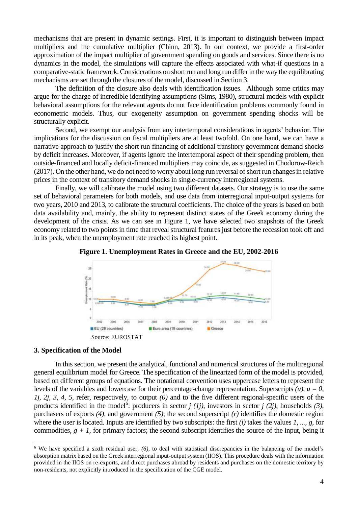mechanisms that are present in dynamic settings. First, it is important to distinguish between impact multipliers and the cumulative multiplier (Chinn, 2013). In our context, we provide a first-order approximation of the impact multiplier of government spending on goods and services. Since there is no dynamics in the model, the simulations will capture the effects associated with what-if questions in a comparative-static framework. Considerations on short run and long run differ in the way the equilibrating mechanisms are set through the closures of the model, discussed in Section 3.

The definition of the closure also deals with identification issues. Although some critics may argue for the charge of incredible identifying assumptions (Sims, 1980), structural models with explicit behavioral assumptions for the relevant agents do not face identification problems commonly found in econometric models. Thus, our exogeneity assumption on government spending shocks will be structurally explicit.

Second, we exempt our analysis from any intertemporal considerations in agents' behavior. The implications for the discussion on fiscal multipliers are at least twofold. On one hand, we can have a narrative approach to justify the short run financing of additional transitory government demand shocks by deficit increases. Moreover, if agents ignore the intertemporal aspect of their spending problem, then outside-financed and locally deficit-financed multipliers may coincide, as suggested in Chodorow-Reich (2017). On the other hand, we do not need to worry about long run reversal of short run changes in relative prices in the context of transitory demand shocks in single-currency interregional systems.

Finally, we will calibrate the model using two different datasets. Our strategy is to use the same set of behavioral parameters for both models, and use data from interregional input-output systems for two years, 2010 and 2013, to calibrate the structural coefficients. The choice of the years is based on both data availability and, mainly, the ability to represent distinct states of the Greek economy during the development of the crisis. As we can see in Figure 1, we have selected two snapshots of the Greek economy related to two points in time that reveal structural features just before the recession took off and in its peak, when the unemployment rate reached its highest point.





#### **3. Specification of the Model**

1

In this section, we present the analytical, functional and numerical structures of the multiregional general equilibrium model for Greece. The specification of the linearized form of the model is provided, based on different groups of equations. The notational convention uses uppercase letters to represent the levels of the variables and lowercase for their percentage-change representation. Superscripts  $(u)$ ,  $u = 0$ , *1j, 2j, 3, 4, 5*, refer, respectively, to output *(0)* and to the five different regional-specific users of the products identified in the model<sup>6</sup>: producers in sector  $j$  ( $1j$ ), investors in sector  $j$  ( $2j$ ), households (3), purchasers of exports *(4)*, and government *(5)*; the second superscript *(r)* identifies the domestic region where the user is located. Inputs are identified by two subscripts: the first *(i)* takes the values *1, ..., g*, for commodities,  $g + I$ , for primary factors; the second subscript identifies the source of the input, being it

<sup>6</sup> We have specified a sixth residual user, *(6)*, to deal with statistical discrepancies in the balancing of the model's absorption matrix based on the Greek interregional input-output system (IIOS). This procedure deals with the information provided in the IIOS on re-exports, and direct purchases abroad by residents and purchases on the domestic territory by non-residents, not explicitly introduced in the specification of the CGE model.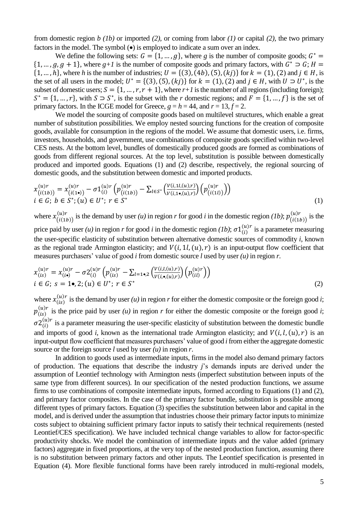from domestic region *b (1b)* or imported *(2)*, or coming from labor *(1)* or capital *(2)*, the two primary factors in the model. The symbol  $\left( \bullet \right)$  is employed to indicate a sum over an index.

We define the following sets:  $G = \{1, ..., g\}$ , where g is the number of composite goods;  $G^*$  $\{1, ..., g, g+1\}$ , where  $g+1$  is the number of composite goods and primary factors, with  $G^* \supset G$ ;  $H =$  $\{1, ..., h\}$ , where *h* is the number of industries;  $U = \{(3), (4b), (5), (kj)\}$  for  $k = (1), (2)$  and  $j \in H$ , is the set of all users in the model;  $U^* = \{(3), (5), (kj)\}$  for  $k = (1), (2)$  and  $j \in H$ , with  $U \supset U^*$ , is the subset of domestic users;  $S = \{1, ..., r, r + 1\}$ , where  $r+1$  is the number of all regions (including foreign);  $S^* = \{1, ..., r\}$ , with  $S \supset S^*$ , is the subset with the *r* domestic regions; and  $F = \{1, ..., f\}$  is the set of primary factors. In the ICGE model for Greece,  $g = h = 44$ , and  $r = 13$ ,  $f = 2$ .

We model the sourcing of composite goods based on multilevel structures, which enable a great number of substitution possibilities. We employ nested sourcing functions for the creation of composite goods, available for consumption in the regions of the model. We assume that domestic users, i.e. firms, investors, households, and government, use combinations of composite goods specified within two-level CES nests. At the bottom level, bundles of domestically produced goods are formed as combinations of goods from different regional sources. At the top level, substitution is possible between domestically produced and imported goods. Equations (1) and (2) describe, respectively, the regional sourcing of domestic goods, and the substitution between domestic and imported products.

$$
x_{(i(1b))}^{(u)r} = x_{(i(1\bullet))}^{(u)r} - \sigma 1_{(i)}^{(u)r} \left( p_{(i(1b))}^{(u)r} - \sum_{l \in S^*} \left( \frac{V(i,1l,(u),r)}{V(i,1\bullet,(u),r)} \right) \left( p_{(i(1l))}^{(u)r} \right) \right)
$$
  
i \in G; b \in S^\*; (u) \in U^\*; r \in S^\* (1)

where  $x_{(i(1b))}^{(u)r}$  is the demand by user *(u)* in region *r* for good *i* in the domestic region *(1b)*;  $p_{(i(1b))}^{(u)r}$  is the price paid by user *(u)* in region *r* for good *i* in the domestic region *(1b)*;  $\sigma 1_{(i)}^{(u)r}$  is a parameter measuring the user-specific elasticity of substitution between alternative domestic sources of commodity *i*, known as the regional trade Armington elasticity; and  $V(i, 1l, (u), r)$  is an input-output flow coefficient that measures purchasers' value of good *i* from domestic source *l* used by user *(u)* in region *r*.

$$
x_{(is)}^{(u)r} = x_{(is)}^{(u)r} - \sigma 2_{(i)}^{(u)r} \left( p_{(is)}^{(u)r} - \sum_{l=1 \bullet,2} \left( \frac{V(i,l,(u),r)}{V(i,\bullet,(u),r)} \right) \left( p_{(il)}^{(u)r} \right) \right)
$$
  
i \in G; s = 1 $\bullet$ , 2; (u) \in U^\*; r \in S^\* (2)

where  $x_{(is)}^{(u)r}$  is the demand by user *(u)* in region *r* for either the domestic composite or the foreign good *i*;  $p_{(is)}^{(u)r}$  is the price paid by user *(u)* in region *r* for either the domestic composite or the foreign good *i*;  $\sigma_2^{(u)r}$  is a parameter measuring the user-specific elasticity of substitution between the domestic bundle and imports of good *i*, known as the international trade Armington elasticity; and  $V(i, l, (u), r)$  is an input-output flow coefficient that measures purchasers' value of good *i* from either the aggregate domestic source or the foreign source *l* used by user *(u)* in region *r*.

In addition to goods used as intermediate inputs, firms in the model also demand primary factors of production. The equations that describe the industry *j*'s demands inputs are derived under the assumption of Leontief technology with Armington nests (imperfect substitution between inputs of the same type from different sources). In our specification of the nested production functions, we assume firms to use combinations of composite intermediate inputs, formed according to Equations (1) and (2), and primary factor composites. In the case of the primary factor bundle, substitution is possible among different types of primary factors. Equation (3) specifies the substitution between labor and capital in the model, and is derived under the assumption that industries choose their primary factor inputs to minimize costs subject to obtaining sufficient primary factor inputs to satisfy their technical requirements (nested Leontief/CES specification). We have included technical change variables to allow for factor-specific productivity shocks. We model the combination of intermediate inputs and the value added (primary factors) aggregate in fixed proportions, at the very top of the nested production function, assuming there is no substitution between primary factors and other inputs. The Leontief specification is presented in Equation (4). More flexible functional forms have been rarely introduced in multi-regional models,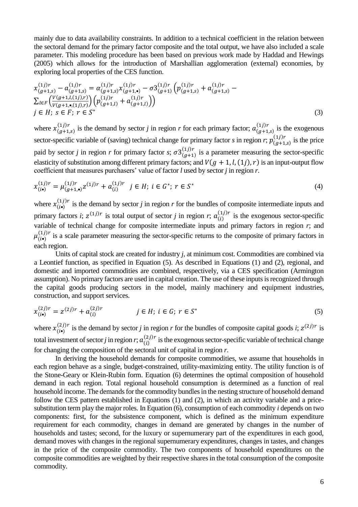mainly due to data availability constraints. In addition to a technical coefficient in the relation between the sectoral demand for the primary factor composite and the total output, we have also included a scale parameter. This modeling procedure has been based on previous work made by Haddad and Hewings (2005) which allows for the introduction of Marshallian agglomeration (external) economies, by exploring local properties of the CES function.

$$
x_{(g+1,s)}^{(1j)r} - a_{(g+1,s)}^{(1j)r} = \alpha_{(g+1,s)}^{(1j)r} x_{(g+1,s)}^{(1j)r} - \sigma 3_{(g+1)}^{(1j)r} \left( p_{(g+1,s)}^{(1j)r} + a_{(g+1,s)}^{(1j)r} - \sum_{l \in F} \left( \frac{V(g+1,l,(1j),r)}{V(g+1,s,(1j),r)} \right) \left( p_{(g+1,l)}^{(1j)r} + a_{(g+1,l)}^{(1j)r} \right) \right)
$$
  
\n $j \in H; s \in F; r \in S^*$  (3)

where  $x_{(g+1,s)}^{(1j)r}$  is the demand by sector *j* in region *r* for each primary factor;  $a_{(g+1,s)}^{(1j)r}$  is the exogenous sector-specific variable of (saving) technical change for primary factor *s* in region *r*;  $p_{(g+1,s)}^{(1j)r}$  is the price paid by sector *j* in region *r* for primary factor *s*;  $\sigma 3_{(g+1)}^{(1j)r}$  is a parameter measuring the sector-specific elasticity of substitution among different primary factors; and  $V(g + 1, l, (1j), r)$  is an input-output flow coefficient that measures purchasers' value of factor *l* used by sector *j* in region *r*.

$$
x_{(i\bullet)}^{(1j)r} = \mu_{(g+1,\bullet)}^{(1j)r} z^{(1j)r} + a_{(i)}^{(1j)r} \quad j \in H; \ i \in G^*; \ r \in S^* \tag{4}
$$

where  $x_{(i\bullet)}^{(1j)r}$  is the demand by sector *j* in region *r* for the bundles of composite intermediate inputs and primary factors *i*;  $z^{(1j)r}$  is total output of sector *j* in region *r*;  $a_{(i)}^{(1j)r}$  is the exogenous sector-specific variable of technical change for composite intermediate inputs and primary factors in region *r*; and  $\mu_{(i\bullet)}^{(1j)r}$  is a scale parameter measuring the sector-specific returns to the composite of primary factors in each region.

Units of capital stock are created for industry *j*, at minimum cost. Commodities are combined via a Leontief function, as specified in Equation (5). As described in Equations (1) and (2), regional, and domestic and imported commodities are combined, respectively, via a CES specification (Armington assumption). No primary factors are used in capital creation. The use of these inputs is recognized through the capital goods producing sectors in the model, mainly machinery and equipment industries, construction, and support services.

$$
x_{(i\bullet)}^{(2j)r} = z^{(2j)r} + a_{(i)}^{(2j)r} \qquad j \in H; \ i \in G; \ r \in S^* \tag{5}
$$

where  $x_{(i\bullet)}^{(2j)r}$  is the demand by sector *j* in region *r* for the bundles of composite capital goods *i*;  $z^{(2j)r}$  is total investment of sector *j* in region *r*;  $a_{(i)}^{(2j)r}$  is the exogenous sector-specific variable of technical change for changing the composition of the sectoral unit of capital in region *r*.

In deriving the household demands for composite commodities, we assume that households in each region behave as a single, budget-constrained, utility-maximizing entity. The utility function is of the Stone-Geary or Klein-Rubin form. Equation (6) determines the optimal composition of household demand in each region. Total regional household consumption is determined as a function of real household income. The demands for the commodity bundles in the nesting structure of household demand follow the CES pattern established in Equations (1) and (2), in which an activity variable and a pricesubstitution term play the major roles. In Equation (6), consumption of each commodity *i* depends on two components: first, for the subsistence component, which is defined as the minimum expenditure requirement for each commodity, changes in demand are generated by changes in the number of households and tastes; second, for the luxury or supernumerary part of the expenditures in each good, demand moves with changes in the regional supernumerary expenditures, changes in tastes, and changes in the price of the composite commodity. The two components of household expenditures on the composite commodities are weighted by their respective shares in the total consumption of the composite commodity.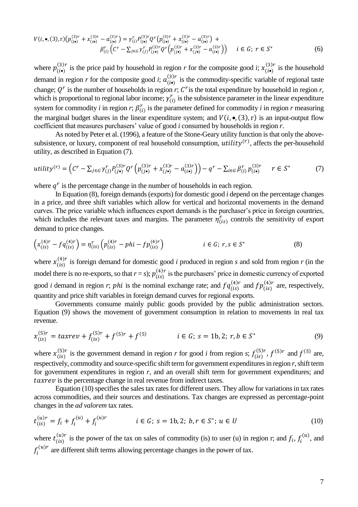$$
V(i, \bullet, (3), r) \left( p_{(i\bullet)}^{(3)r} + x_{(i\bullet)}^{(3)r} - a_{(i\bullet)}^{(3)r} \right) = \gamma_{(i)}^r P_{(i\bullet)}^{(3)r} Q^r \left( p_{(i\bullet)}^{(3)r} + x_{(i\bullet)}^{(3)r} - a_{(i\bullet)}^{(3)r} \right) + \beta_{(i)}^r \left( C^r - \sum_{j \in G} \gamma_{(j)}^r P_{(j\bullet)}^{(3)r} Q^r \left( p_{(j\bullet)}^{(3)r} + x_{(j\bullet)}^{(3)r} - a_{(i\bullet)}^{(3)r} \right) \right) \quad i \in G; \ r \in S^* \tag{6}
$$

where  $p_{(i\bullet)}^{(3)r}$  is the price paid by household in region *r* for the composite good *i*;  $x_{(i\bullet)}^{(3)r}$  is the household demand in region *r* for the composite good *i*;  $a_{(i\bullet)}^{(3)r}$  is the commodity-specific variable of regional taste change;  $Q<sup>r</sup>$  is the number of households in region *r*;  $C<sup>r</sup>$  is the total expenditure by household in region *r*, which is proportional to regional labor income;  $\gamma_{(i)}^r$  is the subsistence parameter in the linear expenditure system for commodity *i* in region *r*;  $\beta_{(i)}^r$  is the parameter defined for commodity *i* in region *r* measuring the marginal budget shares in the linear expenditure system; and  $V(i, \bullet, (3), r)$  is an input-output flow coefficient that measures purchasers' value of good *i* consumed by households in region *r*.

As noted by Peter et al. (1996), a feature of the Stone-Geary utility function is that only the abovesubsistence, or luxury, component of real household consumption,  $utility<sup>(r)</sup>$ , affects the per-household utility, as described in Equation (7).

$$
utility^{(r)} = \left(C^r - \sum_{j \in G} \gamma_{(j)}^r P_{(j\bullet)}^{(3)r} Q^r \left(p_{(j\bullet)}^{(3)r} + x_{(j\bullet)}^{(3)r} - a_{(i\bullet)}^{(3)r}\right)\right) - q^r - \sum_{i \in G} \beta_{(i)}^r p_{(i\bullet)}^{(3)r} \qquad r \in S^*
$$
(7)

where  $q<sup>r</sup>$  is the percentage change in the number of households in each region.

In Equation (8), foreign demands (exports) for domestic good *i* depend on the percentage changes in a price, and three shift variables which allow for vertical and horizontal movements in the demand curves. The price variable which influences export demands is the purchaser's price in foreign countries, which includes the relevant taxes and margins. The parameter  $\eta_{(is)}^r$  controls the sensitivity of export demand to price changes.

$$
\left(x_{(is)}^{(4)r} - f q_{(is)}^{(4)r}\right) = \eta_{(is)}^r \left(p_{(is)}^{(4)r} - phi - f p_{(is)}^{(4)r}\right) \qquad i \in G; \ r, s \in S^* \tag{8}
$$

where  $x_{(is)}^{(4)r}$  is foreign demand for domestic good *i* produced in region *s* and sold from region *r* (in the model there is no re-exports, so that  $r = s$ ;  $p_{(is)}^{(4)r}$  is the purchasers' price in domestic currency of exported good *i* demand in region *r*; *phi* is the nominal exchange rate; and  $fq_{(is)}^{(4)r}$  and  $fp_{(is)}^{(4)r}$  are, respectively, quantity and price shift variables in foreign demand curves for regional exports.

Governments consume mainly public goods provided by the public administration sectors. Equation (9) shows the movement of government consumption in relation to movements in real tax revenue.

$$
x_{(is)}^{(5)r} = taxrev + f_{(is)}^{(5)r} + f^{(5)r} + f^{(5)}
$$
  $i \in G; s = 1b, 2; r, b \in S^*$  (9)

where  $x_{(is)}^{(5)r}$  is the government demand in region *r* for good *i* from region *s*;  $f_{(is)}^{(5)r}$ ,  $f^{(5)r}$  and  $f^{(5)}$  are, respectively, commodity and source-specific shift term for government expenditures in region *r*, shift term for government expenditures in region *r*, and an overall shift term for government expenditures; and taxrev is the percentage change in real revenue from indirect taxes.

Equation (10) specifies the sales tax rates for different users. They allow for variations in tax rates across commodities, and their sources and destinations. Tax changes are expressed as percentage-point changes in the *ad valorem* tax rates.

$$
t_{(is)}^{(u)r} = f_i + f_i^{(u)} + f_i^{(u)r} \qquad i \in G; \ s = 1b, 2; \ b, r \in S^*; \ u \in U \tag{10}
$$

where  $t_{(is)}^{(u)}$  $\binom{(u)r}{(is)}$  is the power of the tax on sales of commodity (is) to user (u) in region r; and  $f_i$ ,  $f_i^{(u)}$ , and  $f_i^{(u)r}$  are different shift terms allowing percentage changes in the power of tax.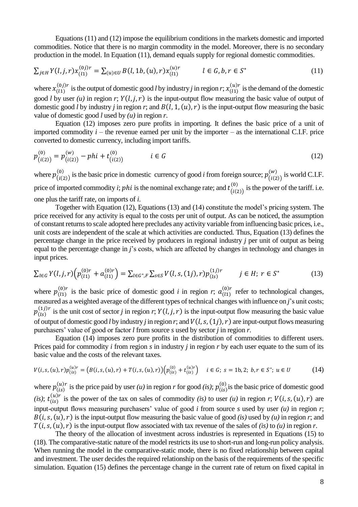Equations (11) and (12) impose the equilibrium conditions in the markets domestic and imported commodities. Notice that there is no margin commodity in the model. Moreover, there is no secondary production in the model. In Equation (11), demand equals supply for regional domestic commodities.

$$
\sum_{j \in H} Y(l, j, r) x_{(l1)}^{(0j)r} = \sum_{(u) \in U} B(l, 1b, (u), r) x_{(l1)}^{(u)r} \qquad l \in G, b, r \in S^*
$$
\n(11)

where  $x_{(11)}^{(0j)r}$  is the output of domestic good *l* by industry *j* in region *r*;  $x_{(11)}^{(u)r}$  is the demand of the domestic good *l* by user (*u*) in region *r*;  $Y(l, j, r)$  is the input-output flow measuring the basic value of output of domestic good *l* by industry *j* in region *r*; and  $B(l, 1, (u), r)$  is the input-output flow measuring the basic value of domestic good *l* used by *(u)* in region *r*.

Equation (12) imposes zero pure profits in importing. It defines the basic price of a unit of imported commodity  $i$  – the revenue earned per unit by the importer – as the international C.I.F. price converted to domestic currency, including import tariffs.

$$
p_{(i(2))}^{(0)} = p_{(i(2))}^{(w)} - phi + t_{(i(2))}^{(0)} \qquad i \in G
$$
\n(12)

where  $p_{(i(2))}^{(0)}$  is the basic price in domestic currency of good *i* from foreign source;  $p_{(i(2))}^{(w)}$  is world C.I.F. price of imported commodity *i*; *phi* is the nominal exchange rate; and  $t_{(i(2))}^{(0)}$  $\binom{0}{i(2)}$  is the power of the tariff. i.e. one plus the tariff rate, on imports of *i*.

Together with Equation (12), Equations (13) and (14) constitute the model's pricing system. The price received for any activity is equal to the costs per unit of output. As can be noticed, the assumption of constant returns to scale adopted here precludes any activity variable from influencing basic prices, i.e., unit costs are independent of the scale at which activities are conducted. Thus, Equation (13) defines the percentage change in the price received by producers in regional industry *j* per unit of output as being equal to the percentage change in *j*'s costs, which are affected by changes in technology and changes in input prices.

$$
\sum_{l \in G} Y(l, j, r) \left( p_{(l1)}^{(0)r} + a_{(l1)}^{(0)r} \right) = \sum_{l \in G^*, F} \sum_{s \in S} V(l, s, (1j), r) p_{(ls)}^{(1j)r} \qquad j \in H; \ r \in S^* \tag{13}
$$

where  $p_{(1)}^{(0)r}$  is the basic price of domestic good *i* in region *r*;  $a_{(1)}^{(0)r}$  refer to technological changes, measured as a weighted average of the different types of technical changes with influence on *j*'s unit costs;  $p_{(ls)}^{(1j)r}$  is the unit cost of sector *j* in region *r*;  $Y(l,j,r)$  is the input-output flow measuring the basic value of output of domestic good *l* by industry *j* in region *r*; and  $V(l, s, (1j), r)$  are input-output flows measuring purchasers' value of good or factor *l* from source *s* used by sector *j* in region *r*.

Equation (14) imposes zero pure profits in the distribution of commodities to different users. Prices paid for commodity *i* from region *s* in industry *j* in region *r* by each user equate to the sum of its basic value and the costs of the relevant taxes.

$$
V(i, s, (u), r)p_{(is)}^{(u)r} = (B(i, s, (u), r) + T(i, s, (u), r))\left(p_{(is)}^{(0)} + t_{(is)}^{(u)r}\right) \quad i \in G; \ s = 1b, 2; \ b, r \in S^*; \ u \in U \tag{14}
$$

where  $p_{(is)}^{(u)r}$  is the price paid by user *(u)* in region *r* for good *(is)*;  $p_{(is)}^{(0)}$  is the basic price of domestic good  $(i s); t_{(i s)}^{(u)}$  $\binom{(u)r}{(is)}$  is the power of the tax on sales of commodity *(is)* to user *(u)* in region *r*;  $V(i, s, (u), r)$  are input-output flows measuring purchasers' value of good *i* from source *s* used by user *(u)* in region *r*;  $B(i, s, (u), r)$  is the input-output flow measuring the basic value of good *(is)* used by *(u)* in region *r*; and  $T(i, s, (u), r)$  is the input-output flow associated with tax revenue of the sales of *(is)* to *(u)* in region *r*.

The theory of the allocation of investment across industries is represented in Equations (15) to (18). The comparative-static nature of the model restricts its use to short-run and long-run policy analysis. When running the model in the comparative-static mode, there is no fixed relationship between capital and investment. The user decides the required relationship on the basis of the requirements of the specific simulation. Equation (15) defines the percentage change in the current rate of return on fixed capital in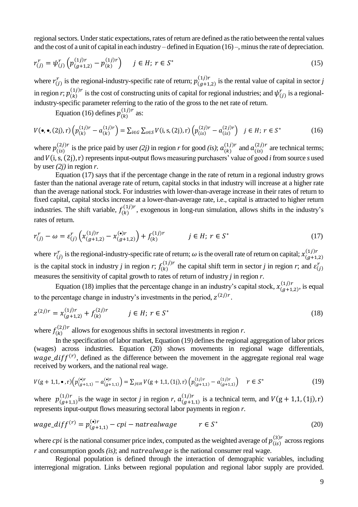regional sectors. Under static expectations, rates of return are defined as the ratio between the rental values and the cost of a unit of capital in each industry – defined in Equation (16) –, minus the rate of depreciation.

$$
r_{(j)}^r = \psi_{(j)}^r \left( p_{(g+1,2)}^{(1)r} - p_{(k)}^{(1)r} \right) \quad j \in H; \ r \in S^* \tag{15}
$$

where  $r_{(j)}^r$  is the regional-industry-specific rate of return;  $p_{(g+1,2)}^{(1j)r}$  is the rental value of capital in sector *j* in region *r*;  $p_{(k)}^{(1j)r}$  is the cost of constructing units of capital for regional industries; and  $\psi_{(j)}^r$  is a regionalindustry-specific parameter referring to the ratio of the gross to the net rate of return.

Equation (16) defines  $p_{(k)}^{(1j)r}$  as:

$$
V(\bullet, \bullet, (2j), r) \left( p_{(k)}^{(1j)r} - a_{(k)}^{(1j)r} \right) = \sum_{i \in G} \sum_{s \in S} V(i, s, (2j), r) \left( p_{(is)}^{(2j)r} - a_{(is)}^{(2j)r} \right) \quad j \in H; \ r \in S^* \tag{16}
$$

where  $p_{(is)}^{(2j)r}$  is the price paid by user *(2j)* in region *r* for good *(is)*;  $a_{(k)}^{(1j)r}$  and  $a_{(is)}^{(2j)r}$  are technical terms; and  $V(i, s, (2j), r)$  represents input-output flows measuring purchasers' value of good *i* from source *s* used by user  $(2j)$  in region *r*.

Equation (17) says that if the percentage change in the rate of return in a regional industry grows faster than the national average rate of return, capital stocks in that industry will increase at a higher rate than the average national stock. For industries with lower-than-average increase in their rates of return to fixed capital, capital stocks increase at a lower-than-average rate, i.e., capital is attracted to higher return industries. The shift variable,  $f_{(k)}^{(1) r}$ , exogenous in long-run simulation, allows shifts in the industry's rates of return.

$$
r_{(j)}^r - \omega = \varepsilon_{(j)}^r \left( x_{(g+1,2)}^{(1j)r} - x_{(g+1,2)}^{(\bullet)r} \right) + f_{(k)}^{(1j)r} \qquad j \in H; \ r \in S^* \tag{17}
$$

where  $r_{(j)}^r$  is the regional-industry-specific rate of return;  $\omega$  is the overall rate of return on capital;  $x_{(g+1,2)}^{(1)}$ is the capital stock in industry *j* in region *r*;  $f_{(k)}^{(1) r}$  the capital shift term in sector *j* in region *r*; and  $\varepsilon_{(j)}^{r}$ measures the sensitivity of capital growth to rates of return of industry *j* in region *r*.

Equation (18) implies that the percentage change in an industry's capital stock,  $x_{(g+1,2)}^{(1j)r}$ , is equal to the percentage change in industry's investments in the period,  $z^{(2j)r}$ .

$$
z^{(2j)r} = x^{(1j)r}_{(g+1,2)} + f^{(2j)r}_{(k)} \qquad j \in H; \ r \in S^*
$$
\n(18)

where  $f_{(k)}^{(2j)r}$  allows for exogenous shifts in sectoral investments in region *r*.

In the specification of labor market, Equation (19) defines the regional aggregation of labor prices (wages) across industries. Equation (20) shows movements in regional wage differentials, wage\_dif $f^{(r)}$ , defined as the difference between the movement in the aggregate regional real wage received by workers, and the national real wage.

$$
V(g+1,1,\bullet,r)\left(p_{(g+1,1)}^{(\bullet)r} - a_{(g+1,1)}^{(\bullet)r}\right) = \sum_{j \in H} V(g+1,1,(1j),r)\left(p_{(g+1,1)}^{(1j)r} - a_{(g+1,1)}^{(1j)r}\right) \quad r \in S^*
$$
(19)

where  $p_{(g+1,1)}^{(1)r}$  is the wage in sector *j* in region *r*,  $a_{(g+1,1)}^{(1)r}$  is a technical term, and  $V(g+1,1, (1j), r)$ represents input-output flows measuring sectoral labor payments in region *r.*

$$
wage\_diff^{(r)} = p_{(g+1,1)}^{(\bullet)r} - cpi - natrealuage \qquad r \in S^*
$$
\n
$$
(20)
$$

where *cpi* is the national consumer price index, computed as the weighted average of  $p_{(is)}^{(3)r}$  across regions *r* and consumption goods *(is)*; and *natrealwage* is the national consumer real wage.

Regional population is defined through the interaction of demographic variables, including interregional migration. Links between regional population and regional labor supply are provided.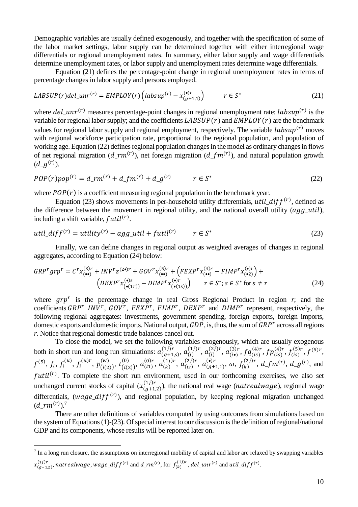Demographic variables are usually defined exogenously, and together with the specification of some of the labor market settings, labor supply can be determined together with either interregional wage differentials or regional unemployment rates. In summary, either labor supply and wage differentials determine unemployment rates, or labor supply and unemployment rates determine wage differentials.

Equation (21) defines the percentage-point change in regional unemployment rates in terms of percentage changes in labor supply and persons employed.

$$
LABSUP(r) del\_unr^{(r)} = EMPLOY(r) \left( labsup^{(r)} - x_{(g+1,1)}^{(\bullet)r} \right) \qquad r \in S^*
$$
\n(21)

where  $del\_unr<sup>(r)</sup>$  measures percentage-point changes in regional unemployment rate;  $labsup(r)$  is the variable for regional labor supply; and the coefficients  $LABSUP(r)$  and  $EMPLOY(r)$  are the benchmark values for regional labor supply and regional employment, respectively. The variable  $\ell absup^{(r)}$  moves with regional workforce participation rate, proportional to the regional population, and population of working age. Equation (22) defines regional population changes in the model as ordinary changes in flows of net regional migration  $(d\_rm^{(r)})$ , net foreign migration  $(d\_fm^{(r)})$ , and natural population growth  $(d_g^{(r)})$ .

$$
POP(r) pop(r) = d_{r} m(r) + d_{r} m(r) + d_{r} m(r) + d_{r} m(r) + d_{r} m(r) + d_{r} m(r) + d_{r} m(r) + d_{r} m(r) + d_{r} m(r) + d_{r} m(r) + d_{r} m(r) + d_{r} m(r) + d_{r} m(r) + d_{r} m(r) + d_{r} m(r) + d_{r} m(r) + d_{r} m(r) + d_{r} m(r) + d_{r} m(r) + d_{r} m(r) + d_{r} m(r) + d_{r} m(r) + d_{r} m(r) + d_{r} m(r) + d_{r} m(r) + d_{r} m(r) + d_{r} m(r) + d_{r} m(r) + d_{r} m(r) + d_{r} m(r) + d_{r} m(r) + d_{r} m(r) + d_{r} m(r) + d_{r} m(r) + d_{r} m(r) + d_{r} m(r) + d_{r} m(r) + d_{r} m(r) + d_{r} m(r) + d_{r} m(r) + d_{r} m(r) + d_{r} m(r) + d_{r} m(r) + d_{r} m(r) + d_{r} m(r) + d_{r} m(r) + d_{r} m(r) + d_{r} m(r) + d_{r} m(r) + d_{r} m(r) + d_{r} m(r) + d_{r} m(r) + d_{r} m(r) + d_{r} m(r) + d_{r} m(r) + d_{r} m(r) + d_{r} m(r) + d_{r} m<
$$

where  $POP(r)$  is a coefficient measuring regional population in the benchmark year.

Equation (23) shows movements in per-household utility differentials,  $util\_diff<sup>(r)</sup>$ , defined as the difference between the movement in regional utility, and the national overall utility  $(agg\_util)$ , including a shift variable,  $futil^{(r)}$ .

$$
util\_diff^{(r)} = utility^{(r)} - agg\_util + futil^{(r)} \qquad r \in S^*
$$
\n
$$
(23)
$$

Finally, we can define changes in regional output as weighted averages of changes in regional aggregates, according to Equation (24) below:

$$
GRPr grpr = Cr x(3)r(••)} + INVr z(2•)r + GOVr x(5)r(••) + (FEXPr x(4)r(••) - FIMPr x(•)(•2)) +
$$
  
\n
$$
(DEXPr x(•)(•(1r)) - DIMPr x(•)(•(1s)) + r \in S*; s \in S* for s \neq r
$$
\n(24)

where  $grp^r$  is the percentage change in real Gross Regional Product in region  $r$ ; and the coefficients  $GRP^r$  INV<sup>r</sup>,  $GOV^r$ ,  $FEXP^r$ ,  $FIMP^r$ ,  $DEXP^r$  and  $DIMP^r$  represent, respectively, the following regional aggregates: investments, government spending, foreign exports, foreign imports, domestic exports and domestic imports. National output,  $GDP$ , is, thus, the sum of  $GRP<sup>r</sup>$  across all regions *r*. Notice that regional domestic trade balances cancel out.

To close the model, we set the following variables exogenously, which are usually exogenous both in short run and long run simulations:  $a_{(g+1,s)}^{(1j)r}$ ,  $a_{(i)}^{(1j)r}$ ,  $a_{(i)}^{(2j)r}$ ,  $a_{(i\bullet)}^{(3)r}$ ,  $f q_{(is)}^{(4)r}$ ,  $f_{(is)}^{(4)r}$ ,  $f_{(is)}^{(5)r}$ ,  $f^{(5)r}$ ,  $f^{(5)}, f_i, f_i^{(u)}, f_i^{(u)r}, p_{(i(2))}^{(w)}, t_{(i(2))}^{(0)}$ (0)  $a_{(11)}^{(0)}$ ,  $a_{(11)}^{(0)r}$ ,  $a_{(11)}^{(1)r}$ ,  $a_{(11)}^{(2)r}$ ,  $a_{(11)}^{(3)r}$ ,  $a_{(11)}^{(4)r}$ ,  $a_{(11)}^{(5)r}$ ,  $a_{(11)}^{(6)r}$ ,  $a_{(11)}^{(7)}$ ,  $a_{(11)}^{(7)}$ ,  $a_{(11)}^{(7)}$ ,  $a_{(11)}^{(7)}$ ,  $a_{(11)}^{(7)}$ ,  $a_{(11)}^{(7)}$ ,  $a_{(11)}^{(7)}$ , futil<sup>(r)</sup>. To complete the short run environment, used in our forthcoming exercises, we also set unchanged current stocks of capital  $(x_{(g+1,2)}^{(1j)r})$ , the national real wage (*natrealwage*), regional wage differentials, (wage\_dif  $f^{(r)}$ ), and regional population, by keeping regional migration unchanged  $(d\_rm^{(r)})$ .<sup>7</sup>

There are other definitions of variables computed by using outcomes from simulations based on the system of Equations (1)-(23). Of special interest to our discussion is the definition of regional/national GDP and its components, whose results will be reported later on.

1

<sup>&</sup>lt;sup>7</sup> In a long run closure, the assumptions on interregional mobility of capital and labor are relaxed by swapping variables

 $x^{(1j)r}_{(g+1,2)},$  natrealwage, wage\_dif $f^{(r)}$  and  $d\_rm^{(r)},$  for  $f^{(1j)r}_{(k)},$   $del\_unr^{(r)}$  and  $util\_diff^{(r)}.$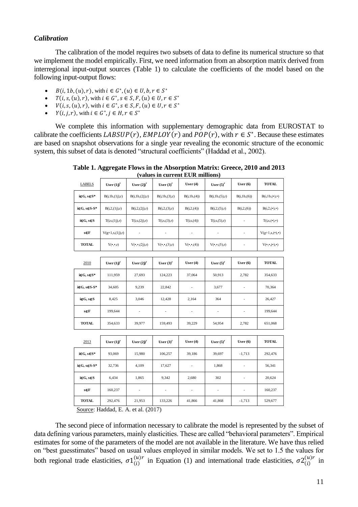### *Calibration*

The calibration of the model requires two subsets of data to define its numerical structure so that we implement the model empirically. First, we need information from an absorption matrix derived from interregional input-output sources (Table 1) to calculate the coefficients of the model based on the following input-output flows:

- $B(i, 1b, (u), r)$ , with  $i \in G^*$ ,  $(u) \in U, b, r \in S^*$
- $T(i, s, (u), r)$ , with  $i \in G^*$ ,  $s \in S$ ,  $F$ ,  $(u) \in U$ ,  $r \in S^*$
- $V(i, s, (u), r)$ , with  $i \in G^*$ ,  $s \in S$ ,  $F$ ,  $(u) \in U$ ,  $r \in S^*$
- $Y(i, j, r)$ , with  $i \in G^*, j \in H, r \in S^*$

We complete this information with supplementary demographic data from EUROSTAT to calibrate the coefficients  $LABSUP(r)$ ,  $EMPLOY(r)$  and  $POP(r)$ , with  $r \in S^*$ . Because these estimates are based on snapshot observations for a single year revealing the economic structure of the economic system, this subset of data is denoted "structural coefficients" (Haddad et al., 2002).

| <b>LABELS</b>             | User $(ij)^r$           | User $(2j)^r$               | User $(3)^{r}$             | User $(4)$               | User $(5)^r$               | User $(6)$               | <b>TOTAL</b>                                    |
|---------------------------|-------------------------|-----------------------------|----------------------------|--------------------------|----------------------------|--------------------------|-------------------------------------------------|
| $i \in G$ , $s \in S^*$   | B(i,1b,(1j),r)          | B(i, 1b, (2j), r)           | B(i, 1b, (3), r)           | B(i, 1b, (4))            | B(i,1b,(5),r)              | B(i, 1b, (6))            | B(i,1b, (•),•)                                  |
| $i \in G$ , $s \in S-S^*$ | B(i,2,(1j),r)           | B(i, 2, (2j), r)            | B(i,2,(3),r)               | B(i, 2, (4))             | B(i, 2, (5), r)            | B(i,2,(6))               | $B(i,2,(\cdot),\cdot)$                          |
| $i \in G, s \in S$        | T(i,s,(1j),r)           | T(i,s,(2j),r)               | T(i,s,(3),r)               | T(i,s,(4))               | T(i,s,(5),r)               | ÷                        | $T(i,s,(\bullet),\bullet)$                      |
| s∈F                       | $V(g+1,s,(1j),r)$       |                             |                            |                          |                            | $\overline{\phantom{a}}$ | $V(g+1,s,(\bullet),\bullet)$                    |
| <b>TOTAL</b>              | $Y(\cdot,\cdot,r)$      | $V(\bullet,\bullet,(2j),r)$ | $V(\bullet,\bullet,(3),r)$ | $V(\bullet,\bullet,(4))$ | $V(\bullet,\bullet,(5),r)$ | $\overline{\phantom{a}}$ | $\mathbf{V}(\bullet,\bullet,(\bullet),\bullet)$ |
|                           |                         |                             |                            |                          |                            |                          |                                                 |
| 2010                      | User $(ij)^r$           | User $(2j)^r$               | User $(3)^{r}$             | User $(4)$               | User $(5)^r$               | User $(6)$               | <b>TOTAL</b>                                    |
| $i \in G$ , $s \in S^*$   | 111,959                 | 27,693                      | 124,223                    | 37,064                   | 50,913                     | 2,782                    | 354,633                                         |
| $i \in G$ , $s \in S-S^*$ | 34,605                  | 9,239                       | 22,842                     | $\overline{\phantom{a}}$ | 3,677                      | $\overline{\phantom{a}}$ | 70,364                                          |
| $i \in G, s \in S$        | 8,425                   | 3,046                       | 12,428                     | 2,164                    | 364                        | $\overline{\phantom{a}}$ | 26,427                                          |
| s∈F                       | 199,644                 | $\overline{\phantom{a}}$    |                            | ÷                        | $\overline{\phantom{a}}$   |                          | 199,644                                         |
| <b>TOTAL</b>              | 354,633                 | 39,977                      | 159,493                    | 39,229                   | 54,954                     | 2,782                    | 651,068                                         |
|                           |                         |                             |                            |                          |                            |                          |                                                 |
| 2013                      | User $(i)$ <sup>r</sup> | User $(2j)^r$               | User $(3)^{r}$             | User $(4)$               | User $(5)^r$               | User $(6)$               | <b>TOTAL</b>                                    |
| $i \in G$ , $s \in S^*$   | 93,069                  | 15,980                      | 106,257                    | 39,186                   | 39,697                     | $-1,713$                 | 292,476                                         |
| $i \in G, s \in S-S^*$    | 32,736                  | 4,109                       | 17,627                     | ÷                        | 1,868                      | $\frac{1}{2}$            | 56,341                                          |
| $i \in G, s \in S$        | 6,434                   | 1,865                       | 9,342                      | 2,680                    | 302                        | $\overline{\phantom{a}}$ | 20,624                                          |
| s∈F                       | 160,237                 | $\overline{\phantom{a}}$    | $\overline{\phantom{a}}$   | ÷                        | $\overline{\phantom{a}}$   | $\overline{\phantom{a}}$ | 160,237                                         |
| <b>TOTAL</b>              | 292,476                 | 21,953                      | 133,226                    | 41,866                   | 41,868                     | $-1,713$                 | 529,677                                         |

**Table 1. Aggregate Flows in the Absorption Matrix: Greece, 2010 and 2013 (values in current EUR millions)**

Source: Haddad, E. A. et al. (2017)

The second piece of information necessary to calibrate the model is represented by the subset of data defining various parameters, mainly elasticities. These are called "behavioral parameters". Empirical estimates for some of the parameters of the model are not available in the literature. We have thus relied on "best guesstimates" based on usual values employed in similar models. We set to 1.5 the values for both regional trade elasticities,  $\sigma_1^{(u)r}$  in Equation (1) and international trade elasticities,  $\sigma_2^{(u)r}$  in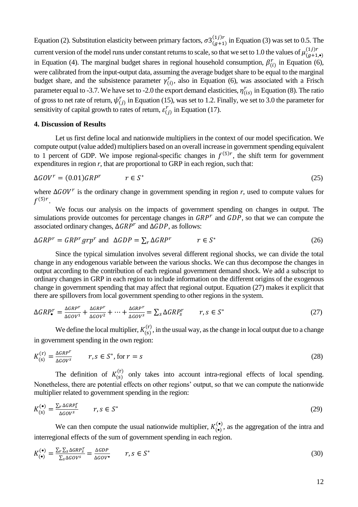Equation (2). Substitution elasticity between primary factors,  $\sigma 3^{(1j)r}_{(g+1)}$  in Equation (3) was set to 0.5. The current version of the model runs under constant returns to scale, so that we set to 1.0 the values of  $\mu_{(g+1,\bullet)}^{(1j)r}$ in Equation (4). The marginal budget shares in regional household consumption,  $\beta_{(i)}^r$  in Equation (6), were calibrated from the input-output data, assuming the average budget share to be equal to the marginal budget share, and the subsistence parameter  $\gamma_{(i)}^r$ , also in Equation (6), was associated with a Frisch parameter equal to -3.7. We have set to -2.0 the export demand elasticities,  $\eta_{(is)}^r$  in Equation (8). The ratio of gross to net rate of return,  $\psi_{(j)}^r$  in Equation (15), was set to 1.2. Finally, we set to 3.0 the parameter for sensitivity of capital growth to rates of return,  $\varepsilon_{(j)}^r$  in Equation (17).

#### **4. Discussion of Results**

Let us first define local and nationwide multipliers in the context of our model specification. We compute output (value added) multipliers based on an overall increase in government spending equivalent to 1 percent of GDP. We impose regional-specific changes in  $f^{(5)r}$ , the shift term for government expenditures in region *r*, that are proportional to GRP in each region, such that:

$$
\Delta GOV^r = (0.01)GRP^r \qquad r \in S^* \tag{25}
$$

where  $\Delta GOV^r$  is the ordinary change in government spending in region *r*, used to compute values for  $f^{(5)r}.$ 

We focus our analysis on the impacts of government spending on changes in output. The simulations provide outcomes for percentage changes in  $GRP<sup>r</sup>$  and  $GDP$ , so that we can compute the associated ordinary changes,  $\Delta GRP^r$  and  $\Delta GDP$ , as follows:

$$
\Delta GRP^r = GRP^r \, grp^r \text{ and } \Delta GDP = \sum_{r} \Delta GRP^r \qquad r \in S^* \tag{26}
$$

Since the typical simulation involves several different regional shocks, we can divide the total change in any endogenous variable between the various shocks. We can thus decompose the changes in output according to the contribution of each regional government demand shock. We add a subscript to ordinary changes in GRP in each region to include information on the different origins of the exogenous change in government spending that may affect that regional output. Equation (27) makes it explicit that there are spillovers from local government spending to other regions in the system.

$$
\Delta GRP_{\bullet}^r = \frac{\Delta GRP^r}{\Delta GOV^1} + \frac{\Delta GRP^r}{\Delta GOV^2} + \dots + \frac{\Delta GRP^r}{\Delta GOV^s} = \sum_{S} \Delta GRP_S^r \qquad r, s \in S^*
$$
\n(27)

We define the local multiplier,  $K_{(s)}^{(r)}$ , in the usual way, as the change in local output due to a change in government spending in the own region:

$$
K_{(s)}^{(r)} = \frac{\Delta G R P^r}{\Delta G O V^s} \qquad r, s \in S^*, \text{ for } r = s \tag{28}
$$

The definition of  $K_{(s)}^{(r)}$  only takes into account intra-regional effects of local spending. Nonetheless, there are potential effects on other regions' output, so that we can compute the nationwide multiplier related to government spending in the region:

$$
K_{(s)}^{(\bullet)} = \frac{\sum_{r} \Delta GRP_s^r}{\Delta GOV^s} \qquad r, s \in S^*
$$
\n
$$
(29)
$$

We can then compute the usual nationwide multiplier,  $K_{(\bullet)}^{(\bullet)}$ , as the aggregation of the intra and interregional effects of the sum of government spending in each region.

$$
K_{(\bullet)}^{(\bullet)} = \frac{\sum_{r} \sum_{s} \Delta G R P s}{\sum_{s} \Delta G O V^{s}} = \frac{\Delta G D P}{\Delta G O V^{*}} \qquad r, s \in S^{*}
$$
\n(30)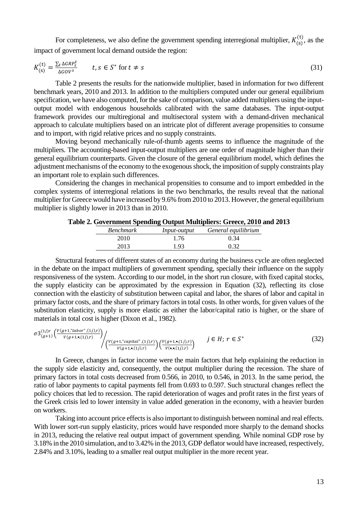For completeness, we also define the government spending interregional multiplier,  $K_{(s)}^{(t)}$ , as the impact of government local demand outside the region:

$$
K_{(s)}^{(t)} = \frac{\sum_{t} \Delta G R P_{s}^{t}}{\Delta G O V^{s}} \qquad t, s \in S^{*} \text{ for } t \neq s
$$
\n
$$
(31)
$$

Table 2 presents the results for the nationwide multiplier, based in information for two different benchmark years, 2010 and 2013. In addition to the multipliers computed under our general equilibrium specification, we have also computed, for the sake of comparison, value added multipliers using the inputoutput model with endogenous households calibrated with the same databases. The input-output framework provides our multiregional and multisectoral system with a demand-driven mechanical approach to calculate multipliers based on an intricate plot of different average propensities to consume and to import, with rigid relative prices and no supply constraints.

Moving beyond mechanically rule-of-thumb agents seems to influence the magnitude of the multipliers. The accounting-based input-output multipliers are one order of magnitude higher than their general equilibrium counterparts. Given the closure of the general equilibrium model, which defines the adjustment mechanisms of the economy to the exogenous shock, the imposition of supply constraints play an important role to explain such differences.

Considering the changes in mechanical propensities to consume and to import embedded in the complex systems of interregional relations in the two benchmarks, the results reveal that the national multiplier for Greece would have increased by 9.6% from 2010 to 2013. However, the general equilibrium multiplier is slightly lower in 2013 than in 2010.

| <b>Benchmark</b> | <i>Input-output</i> | General equilibrium |
|------------------|---------------------|---------------------|
| 2010             | 1.76                | 0.34                |
| 2013             | 1.93                | 0.32                |

### **Table 2. Government Spending Output Multipliers: Greece, 2010 and 2013**

Structural features of different states of an economy during the business cycle are often neglected in the debate on the impact multipliers of government spending, specially their influence on the supply responsiveness of the system. According to our model, in the short run closure, with fixed capital stocks, the supply elasticity can be approximated by the expression in Equation (32), reflecting its close connection with the elasticity of substitution between capital and labor, the shares of labor and capital in primary factor costs, and the share of primary factors in total costs. In other words, for given values of the substitution elasticity, supply is more elastic as either the labor/capital ratio is higher, or the share of materials in total cost is higher (Dixon et al., 1982).

$$
\sigma 3_{(g+1)}^{(1j)r} \left( \frac{V(g+1, \text{labor}^r, (1j), r)}{V(g+1, \bullet, (1j), r)} \right) / \left( \frac{V(g+1, \text{rcapital}^r, (1j), r)}{V(g+1, \bullet, (1j), r)} \right) \left( \frac{V(g+1, \bullet, (1j), r)}{V(\bullet, \bullet, (1j), r)} \right) \qquad j \in H; \ r \in S^* \tag{32}
$$

In Greece, changes in factor income were the main factors that help explaining the reduction in the supply side elasticity and, consequently, the output multiplier during the recession. The share of primary factors in total costs decreased from 0.566, in 2010, to 0.546, in 2013. In the same period, the ratio of labor payments to capital payments fell from 0.693 to 0.597. Such structural changes reflect the policy choices that led to recession. The rapid deterioration of wages and profit rates in the first years of the Greek crisis led to lower intensity in value added generation in the economy, with a heavier burden on workers.

Taking into account price effects is also important to distinguish between nominal and real effects. With lower sort-run supply elasticity, prices would have responded more sharply to the demand shocks in 2013, reducing the relative real output impact of government spending. While nominal GDP rose by 3.18% in the 2010 simulation, and to 3.42% in the 2013, GDP deflator would have increased, respectively, 2.84% and 3.10%, leading to a smaller real output multiplier in the more recent year.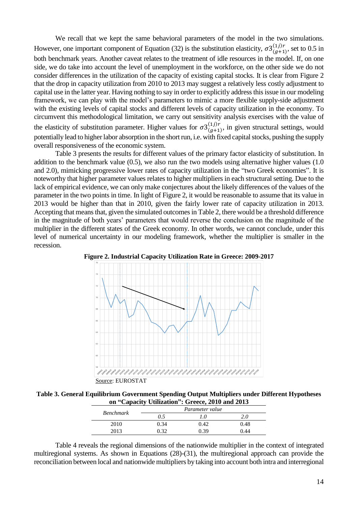We recall that we kept the same behavioral parameters of the model in the two simulations. However, one important component of Equation (32) is the substitution elasticity,  $\sigma 3_{(g+1)}^{(1) \rceil r}$ , set to 0.5 in both benchmark years. Another caveat relates to the treatment of idle resources in the model. If, on one side, we do take into account the level of unemployment in the workforce, on the other side we do not consider differences in the utilization of the capacity of existing capital stocks. It is clear from Figure 2 that the drop in capacity utilization from 2010 to 2013 may suggest a relatively less costly adjustment to capital use in the latter year. Having nothing to say in order to explicitly address this issue in our modeling framework, we can play with the model's parameters to mimic a more flexible supply-side adjustment with the existing levels of capital stocks and different levels of capacity utilization in the economy. To circumvent this methodological limitation, we carry out sensitivity analysis exercises with the value of the elasticity of substitution parameter. Higher values for  $\sigma 3^{(1j)r}_{(g+1)}$ , in given structural settings, would potentially lead to higher labor absorption in the short run, i.e. with fixed capital stocks, pushing the supply overall responsiveness of the economic system.

Table 3 presents the results for different values of the primary factor elasticity of substitution. In addition to the benchmark value (0.5), we also run the two models using alternative higher values (1.0 and 2.0), mimicking progressive lower rates of capacity utilization in the "two Greek economies". It is noteworthy that higher parameter values relates to higher multipliers in each structural setting. Due to the lack of empirical evidence, we can only make conjectures about the likely differences of the values of the parameter in the two points in time. In light of Figure 2, it would be reasonable to assume that its value in 2013 would be higher than that in 2010, given the fairly lower rate of capacity utilization in 2013. Accepting that means that, given the simulated outcomes in Table 2, there would be a threshold difference in the magnitude of both years' parameters that would reverse the conclusion on the magnitude of the multiplier in the different states of the Greek economy. In other words, we cannot conclude, under this level of numerical uncertainty in our modeling framework, whether the multiplier is smaller in the recession.



**Figure 2. Industrial Capacity Utilization Rate in Greece: 2009-2017**

**Table 3. General Equilibrium Government Spending Output Multipliers under Different Hypotheses on "Capacity Utilization": Greece, 2010 and 2013**

|                  |      | Parameter value |      |
|------------------|------|-----------------|------|
| <b>Benchmark</b> | 0.5  | .0.             | 2.0  |
| 2010             | 0.34 | 0.42            | 0.48 |
| 2013             | -20  | በ 39            | 0.44 |
|                  |      |                 |      |

Table 4 reveals the regional dimensions of the nationwide multiplier in the context of integrated multiregional systems. As shown in Equations (28)-(31), the multiregional approach can provide the reconciliation between local and nationwide multipliers by taking into account both intra and interregional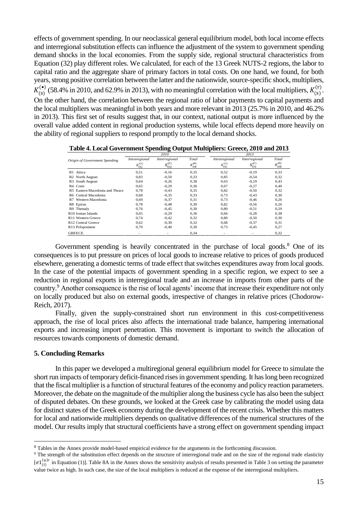effects of government spending. In our neoclassical general equilibrium model, both local income effects and interregional substitution effects can influence the adjustment of the system to government spending demand shocks in the local economies. From the supply side, regional structural characteristics from Equation (32) play different roles. We calculated, for each of the 13 Greek NUTS-2 regions, the labor to capital ratio and the aggregate share of primary factors in total costs. On one hand, we found, for both years, strong positive correlation between the latter and the nationwide, source-specific shock, multipliers,  $K_{(s)}^{(\bullet)}$  (58.4% in 2010, and 62.9% in 2013), with no meaningful correlation with the local multipliers,  $K_{(s)}^{(r)}$ . On the other hand, the correlation between the regional ratio of labor payments to capital payments and the local multipliers was meaningful in both years and more relevant in 2013 (25.7% in 2010, and 46.2% in 2013). This first set of results suggest that, in our context, national output is more influenced by the overall value added content in regional production systems, while local effects depend more heavily on the ability of regional suppliers to respond promptly to the local demand shocks.

|                                     |                          | 2010            |                           |               | 2013            |                            |
|-------------------------------------|--------------------------|-----------------|---------------------------|---------------|-----------------|----------------------------|
| Origin of Government Spending       | Intraregional            | Interregional   | Total                     | Intraregional | Interregional   | Total                      |
|                                     | $\kappa^{\rm (e)}_{(i)}$ | $k_{(s)}^{(0)}$ | $\kappa_{\rm{loc}}^{(1)}$ | к©            | $k_{(s)}^{(l)}$ | $\epsilon_{\rm{pc}}^{(1)}$ |
| R1 Attica                           | 0,51                     | $-0.16$         | 0,35                      | 0,52          | $-0.19$         | 0,33                       |
| R <sub>2</sub> North Aegean         | 0,83                     | $-0.50$         | 0,33                      | 0,85          | $-0.54$         | 0,32                       |
| South Aegean<br>R3.                 | 0.64                     | $-0.26$         | 0,38                      | 0,63          | $-0.19$         | 0,43                       |
| R4 Crete                            | 0,65                     | $-0.29$         | 0,36                      | 0,67          | $-0,27$         | 0,40                       |
| Eastern Macedonia and Thrace<br>R5. | 0,78                     | $-0.43$         | 0,35                      | 0,82          | $-0.50$         | 0,32                       |
| R6 Central Macedonia                | 0.68                     | $-0.35$         | 0,33                      | 0.73          | $-0.43$         | 0,30                       |
| Western Macedonia<br>R7             | 0.69                     | $-0.37$         | 0,31                      | 0,73          | $-0.46$         | 0,26                       |
| R8 Epirus                           | 0.78                     | $-0.48$         | 0,30                      | 0.82          | $-0.56$         | 0,26                       |
| Thessalv<br>R9.                     | 0.76                     | $-0.45$         | 0,30                      | 0.80          | $-0.51$         | 0,29                       |
| R <sub>10</sub> Ionian Islands      | 0,65                     | $-0.29$         | 0,36                      | 0,66          | $-0.28$         | 0,38                       |
| R <sub>11</sub> Western Greece      | 0.74                     | $-0.42$         | 0,32                      | 0.80          | $-0,50$         | 0,30                       |
| R <sub>12</sub> Central Greece      | 0,62                     | $-0,30$         | 0,32                      | 0,68          | $-0.37$         | 0,31                       |
| R13 Peloponnese                     | 0,70                     | $-0,40$         | 0,30                      | 0,73          | $-0.45$         | 0,27                       |
| <b>GREECE</b>                       |                          |                 | 0,34                      |               |                 | 0,32                       |

**Table 4. Local Government Spending Output Multipliers: Greece, 2010 and 2013**

Government spending is heavily concentrated in the purchase of local goods.<sup>8</sup> One of its consequences is to put pressure on prices of local goods to increase relative to prices of goods produced elsewhere, generating a domestic terms of trade effect that switches expenditures away from local goods. In the case of the potential impacts of government spending in a specific region, we expect to see a reduction in regional exports in interregional trade and an increase in imports from other parts of the country.<sup>9</sup> Another consequence is the rise of local agents' income that increase their expenditure not only on locally produced but also on external goods, irrespective of changes in relative prices (Chodorow-Reich, 2017).

Finally, given the supply-constrained short run environment in this cost-competitiveness approach, the rise of local prices also affects the international trade balance, hampering international exports and increasing import penetration. This movement is important to switch the allocation of resources towards components of domestic demand.

### **5. Concluding Remarks**

<u>.</u>

In this paper we developed a multiregional general equilibrium model for Greece to simulate the short run impacts of temporary deficit-financed rises in government spending. It has long been recognized that the fiscal multiplier is a function of structural features of the economy and policy reaction parameters. Moreover, the debate on the magnitude of the multiplier along the business cycle has also been the subject of disputed debates. On these grounds, we looked at the Greek case by calibrating the model using data for distinct states of the Greek economy during the development of the recent crisis. Whether this matters for local and nationwide multipliers depends on qualitative differences of the numerical structures of the model. Our results imply that structural coefficients have a strong effect on government spending impact

<sup>8</sup> Tables in the Annex provide model-based empirical evidence for the arguments in the forthcoming discussion.

 $9$  The strength of the substitution effect depends on the structure of interregional trade and on the size of the regional trade elasticity  $[\sigma_1]_{(i)}^{(u)r}$  in Equation (1)]. Table 8A in the Annex shows the sensitivity analysis of results presented in Table 3 on setting the parameter value twice as high. In such case, the size of the local multipliers is reduced at the expense of the interregional multipliers.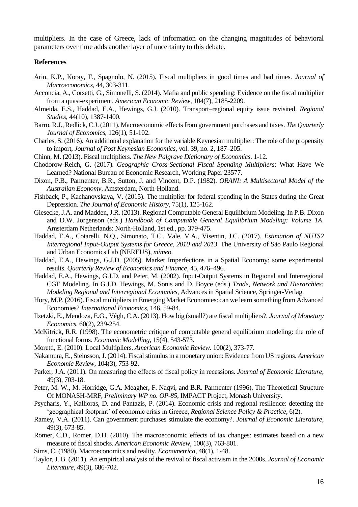multipliers. In the case of Greece, lack of information on the changing magnitudes of behavioral parameters over time adds another layer of uncertainty to this debate.

### **References**

- Arin, K.P., Koray, F., Spagnolo, N. (2015). Fiscal multipliers in good times and bad times. *Journal of Macroeconomics*, 44, 303-311.
- Acconcia, A., Corsetti, G., Simonelli, S. (2014). Mafia and public spending: Evidence on the fiscal multiplier from a quasi-experiment. *American Economic Review*, 104(7), 2185-2209.
- Almeida, E.S., Haddad, E.A., Hewings, G.J. (2010). Transport–regional equity issue revisited. *Regional Studies*, 44(10), 1387-1400.
- Barro, R.J., Redlick, C.J. (2011). Macroeconomic effects from government purchases and taxes. *The Quarterly Journal of Economics*, 126(1), 51-102.
- Charles, S. (2016). An additional explanation for the variable Keynesian multiplier: The role of the propensity to import, *Journal of Post Keynesian Economics*, vol. 39, no. 2, 187–205.
- Chinn, M. (2013). Fiscal multipliers. *The New Palgrave Dictionary of Economics*. 1-12.
- Chodorow-Reich, G. (2017). *Geographic Cross-Sectional Fiscal Spending Multipliers*: What Have We Learned? National Bureau of Economic Research, Working Paper 23577.
- Dixon, P.B., Parmenter, B.R., Sutton, J. and Vincent, D.P. (1982). *ORANI: A Multisectoral Model of the Australian Economy*. Amsterdam, North-Holland.
- Fishback, P., Kachanovskaya, V. (2015). The multiplier for federal spending in the States during the Great Depression. *The Journal of Economic History*, 75(1), 125-162.
- Giesecke, J.A. and Madden,J.R. (2013). Regional Computable General Equilibrium Modeling. In P.B. Dixon and D.W. Jorgenson (eds.) *Handbook of Computable General Equilibrium Modeling: Volume 1A*. Amsterdam Netherlands: North-Holland, 1st ed., pp. 379-475.
- Haddad, E.A., Cotarelli, N.Q., Simonato, T.C., Vale, V.A., Visentin, J.C. (2017). *Estimation of NUTS2 Interregional Input-Output Systems for Greece, 2010 and 2013*. The University of São Paulo Regional and Urban Economics Lab (NEREUS), *mimeo*.
- Haddad, E.A., Hewings, G.J.D. (2005). Market Imperfections in a Spatial Economy: some experimental results. *Quarterly Review of Economics and Finance*, 45, 476–496.
- Haddad, E.A., Hewings, G.J.D. and Peter, M. (2002). Input-Output Systems in Regional and Interregional CGE Modeling. In G.J.D. Hewings, M. Sonis and D. Boyce (eds.) *Trade, Network and Hierarchies: Modeling Regional and Interregional Economies*, Advances in Spatial Science, Springer-Verlag.
- Hory, M.P. (2016). Fiscal multipliers in Emerging Market Economies: can we learn something from Advanced Economies? *International Economics*, 146, 59-84.
- Ilzetzki, E., Mendoza, E.G., Végh, C.A. (2013). How big (small?) are fiscal multipliers?. *Journal of Monetary Economics*, 60(2), 239-254.
- McKitrick, R.R. (1998). The econometric critique of computable general equilibrium modeling: the role of functional forms. *Economic Modelling*, 15(4), 543-573.
- Moretti, E. (2010). Local Multipliers. *American Economic Review*. 100(2), 373-77.
- Nakamura, E., Steinsson, J. (2014). Fiscal stimulus in a monetary union: Evidence from US regions. *American Economic Review*, 104(3), 753-92.
- Parker, J.A. (2011). On measuring the effects of fiscal policy in recessions. *Journal of Economic Literature*, 49(3), 703-18.
- Peter, M. W., M. Horridge, G.A. Meagher, F. Naqvi, and B.R. Parmenter (1996). The Theoretical Structure Of MONASH-MRF, *Preliminary WP no. OP-85*, IMPACT Project, Monash University.
- Psycharis, Y., Kallioras, D. and Pantazis, P. (2014). Economic crisis and regional resilience: detecting the 'geographical footprint' of economic crisis in Greece, *Regional Science Policy & Practice*, 6(2).
- Ramey, V.A. (2011). Can government purchases stimulate the economy?. *Journal of Economic Literature*, 49(3), 673-85.
- Romer, C.D., Romer, D.H. (2010). The macroeconomic effects of tax changes: estimates based on a new measure of fiscal shocks. *American Economic Review*, 100(3), 763-801.
- Sims, C. (1980). Macroeconomics and reality. *Econometrica*, 48(1), 1-48.
- Taylor, J. B. (2011). An empirical analysis of the revival of fiscal activism in the 2000s. *Journal of Economic Literature*, 49(3), 686-702.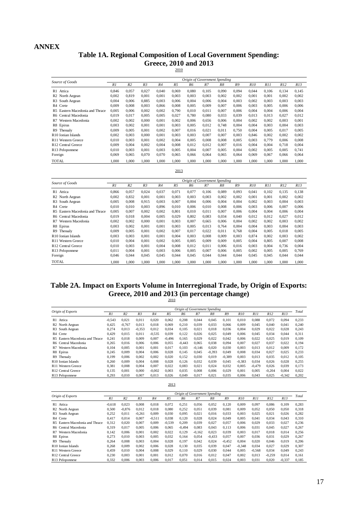## **ANNEX**

## **Table 1A. Regional Composition of Local Government Spending: Greece, 2010 and 2013**

2010

|                                 |       |                |                |       |       | Origin of Government Spending |       |       |       |            |       |       |       |
|---------------------------------|-------|----------------|----------------|-------|-------|-------------------------------|-------|-------|-------|------------|-------|-------|-------|
| Source of Goods                 | R1    | R <sub>2</sub> | R <sub>3</sub> | R4    | R5    | R6                            | $R$ 7 | R8    | R9    | <i>R10</i> | R11   | R12   | R13   |
| R1 Attica                       | 0.846 | 0.057          | 0.027          | 0.040 | 0.069 | 0.080                         | 0.105 | 0.090 | 0.094 | 0.044      | 0.106 | 0.134 | 0.145 |
| R <sub>2</sub> North Aegean     | 0,002 | 0,819          | 0.001          | 0.001 | 0,003 | 0.003                         | 0.003 | 0.002 | 0,002 | 0.001      | 0,001 | 0.002 | 0,002 |
| R <sub>3</sub> South Aegean     | 0.004 | 0.006          | 0.885          | 0.003 | 0.006 | 0.004                         | 0.006 | 0.004 | 0.003 | 0.002      | 0.003 | 0.003 | 0,003 |
| R <sub>4</sub> Crete            | 0,009 | 0,008          | 0.003          | 0,866 | 0,008 | 0,005                         | 0,009 | 0,007 | 0,006 | 0,003      | 0,005 | 0,006 | 0,006 |
| R5 Eastern Macedonia and Thrace | 0.005 | 0.006          | 0.002          | 0.002 | 0.790 | 0.010                         | 0.011 | 0.007 | 0.006 | 0.004      | 0.004 | 0.006 | 0,004 |
| R6 Central Macedonia            | 0.019 | 0.017          | 0.005          | 0.005 | 0.027 | 0.780                         | 0.080 | 0.033 | 0.039 | 0.013      | 0.013 | 0.027 | 0,012 |
| Western Macedonia<br>R7         | 0.002 | 0.002          | 0.000          | 0.001 | 0.002 | 0.006                         | 0.656 | 0.006 | 0.004 | 0.002      | 0.002 | 0.003 | 0,001 |
| R8 Epirus                       | 0.003 | 0.002          | 0.001          | 0.001 | 0.003 | 0.005                         | 0.012 | 0.748 | 0.004 | 0.004      | 0.003 | 0.004 | 0,003 |
| Thessalv<br>R9                  | 0.009 | 0.005          | 0.001          | 0.002 | 0.007 | 0.016                         | 0.021 | 0.011 | 0.750 | 0.004      | 0.005 | 0.017 | 0.005 |
| R <sub>10</sub> Ionian Islands  | 0.002 | 0.003          | 0.000          | 0.001 | 0.003 | 0.003                         | 0.007 | 0.007 | 0.003 | 0.846      | 0.002 | 0.002 | 0,002 |
| R <sub>11</sub> Western Greece  | 0.010 | 0.003          | 0.001          | 0.002 | 0.004 | 0.005                         | 0.008 | 0.008 | 0.005 | 0.003      | 0.779 | 0.006 | 0.008 |
| R <sub>12</sub> Central Greece  | 0.009 | 0.004          | 0.002          | 0.004 | 0.008 | 0.012                         | 0.012 | 0.007 | 0.016 | 0.004      | 0.004 | 0.718 | 0,004 |
| R13 Peloponnese                 | 0.010 | 0.003          | 0.001          | 0.003 | 0,005 | 0.004                         | 0.007 | 0.005 | 0.004 | 0.002      | 0.005 | 0.005 | 0.741 |
| Foreign                         | 0,069 | 0,065          | 0,070          | 0,070 | 0,065 | 0,066                         | 0,064 | 0,065 | 0,064 | 0,069      | 0,067 | 0,066 | 0,064 |
| <b>TOTAL</b>                    | 1.000 | 1.000          | 1.000          | 1.000 | 1.000 | 1.000                         | 1.000 | 1.000 | 1.000 | 1.000      | 1.000 | 1.000 | 1.000 |

| Source of Goods                     |       |                |                |       |       |       | Origin of Government Spending |       |       |            |       |       |       |
|-------------------------------------|-------|----------------|----------------|-------|-------|-------|-------------------------------|-------|-------|------------|-------|-------|-------|
|                                     | R1    | R <sub>2</sub> | R <sub>3</sub> | R4    | R5    | R6    | R7                            | R8    | R9    | <i>R10</i> | R11   | R12   | R13   |
| R1<br>Attica                        | 0.866 | 0,057          | 0,024          | 0,037 | 0,071 | 0,077 | 0.106                         | 0.089 | 0,093 | 0,041      | 0,102 | 0,135 | 0,138 |
| R <sub>2</sub> North Aegean         | 0.002 | 0.832          | 0.001          | 0,001 | 0.003 | 0.003 | 0.003                         | 0.002 | 0.002 | 0.001      | 0.001 | 0.002 | 0,002 |
| South Aegean<br>R <sub>3</sub>      | 0.005 | 0.008          | 0.915          | 0.003 | 0.007 | 0.004 | 0.006                         | 0.004 | 0.004 | 0.002      | 0.003 | 0.004 | 0,003 |
| R <sub>4</sub> Crete                | 0.010 | 0.010          | 0.003          | 0.896 | 0.010 | 0.006 | 0.010                         | 0,008 | 0.006 | 0.003      | 0.006 | 0.007 | 0,006 |
| Eastern Macedonia and Thrace<br>R5. | 0.005 | 0.007          | 0.002          | 0.002 | 0.801 | 0.010 | 0.011                         | 0.007 | 0.006 | 0.004      | 0.004 | 0.006 | 0,004 |
| R6 Central Macedonia                | 0.019 | 0.018          | 0.004          | 0.005 | 0.029 | 0.802 | 0.083                         | 0.034 | 0.040 | 0.012      | 0.012 | 0.027 | 0.012 |
| Western Macedonia<br>R7             | 0,002 | 0,002          | 0,000          | 0,001 | 0,003 | 0,007 | 0,665                         | 0,006 | 0,004 | 0,002      | 0,002 | 0,003 | 0,002 |
| R8 Epirus                           | 0,003 | 0.002          | 0.001          | 0.001 | 0,003 | 0.005 | 0,013                         | 0.764 | 0,004 | 0,004      | 0,003 | 0,004 | 0,003 |
| Thessalv<br>R9                      | 0,009 | 0.005          | 0.001          | 0.002 | 0.007 | 0.017 | 0.022                         | 0.011 | 0.768 | 0.004      | 0.005 | 0.018 | 0,005 |
| R <sub>10</sub> Ionian Islands      | 0.003 | 0.003          | 0.001          | 0.001 | 0.004 | 0.003 | 0.008                         | 0.009 | 0.003 | 0.874      | 0.002 | 0,003 | 0,002 |
| R <sub>11</sub> Western Greece      | 0.010 | 0.004          | 0.001          | 0.002 | 0.005 | 0.005 | 0.009                         | 0.009 | 0.005 | 0.004      | 0.805 | 0.007 | 0,008 |
| R <sub>12</sub> Central Greece      | 0.010 | 0.003          | 0.001          | 0.004 | 0.008 | 0.012 | 0.011                         | 0.006 | 0.016 | 0.003      | 0.004 | 0.736 | 0.004 |
| R13 Peloponnese                     | 0.011 | 0.004          | 0,001          | 0.003 | 0,006 | 0.005 | 0,007                         | 0,006 | 0,005 | 0,002      | 0,005 | 0.005 | 0,769 |
| Foreign                             | 0.046 | 0.044          | 0.045          | 0.045 | 0,044 | 0.045 | 0.044                         | 0.044 | 0,044 | 0.045      | 0.045 | 0,044 | 0,044 |
| TOTAL                               | 1.000 | 1.000          | 1.000          | 1.000 | 1.000 | 1.000 | 1.000                         | 1.000 | 1.000 | 1.000      | 1.000 | 1.000 | 1.000 |

## **Table 2A. Impact on Exports Volume in Interregional Trade, by Origin of Exports: Greece, 2010 and 2013 (in percentage change)** 2010

|                                    |          |                |                |          |          | Origin of Government Spending |          |          |          |            |          |          |          | Total |
|------------------------------------|----------|----------------|----------------|----------|----------|-------------------------------|----------|----------|----------|------------|----------|----------|----------|-------|
| Origin of Exports                  | R1       | R <sub>2</sub> | R <sub>3</sub> | R4       | R5       | R6                            | R7       | R8       | R9       | <i>R10</i> | R11      | R12      | R13      |       |
| R1<br>Attica                       | $-0.543$ | 0.021          | 0.011          | 0.020    | 0.062    | 0.208                         | 0.044    | 0.045    | 0.101    | 0.010      | 0.088    | 0.072    | 0.094    | 0,233 |
| North Aegean<br>R2                 | 0.425    | $-0.767$       | 0.013          | 0.018    | 0.069    | 0.210                         | 0.039    | 0.033    | 0.066    | 0.009      | 0.045    | 0.040    | 0.041    | 0.240 |
| South Aegean<br>R3                 | 0.274    | 0.013          | $-0.353$       | 0.012    | 0.034    | 0.105                         | 0.021    | 0.018    | 0.036    | 0.004      | 0.029    | 0.022    | 0.028    | 0,243 |
| R <sub>4</sub> Crete               | 0.429    | 0.015          | 0.011          | $-0.535$ | 0.039    | 0.122                         | 0.026    | 0.025    | 0.049    | 0.006      | 0.045    | 0.034    | 0.044    | 0,311 |
| Eastern Macedonia and Thrace<br>R5 | 0.241    | 0.018          | 0.009          | 0.007    | $-0.496$ | 0.165                         | 0.029    | 0.022    | 0.042    | 0.006      | 0.022    | 0.025    | 0.019    | 0.109 |
| R6 Central Macedonia               | 0.265    | 0.016          | 0.006          | 0.006    | 0.055    | $-0.443$                      | 0.065    | 0.038    | 0.094    | 0.007      | 0.027    | 0.037    | 0.022    | 0.194 |
| Western Macedonia<br>R7            | 0.104    | 0.005          | 0.001          | 0.001    | 0.017    | 0.103                         | $-0.146$ | 0.020    | 0.030    | 0.003      | 0.013    | 0.012    | 0.009    | 0.172 |
| R8 Epirus                          | 0.245    | 0.009          | 0.004          | 0.006    | 0.028    | 0.145                         | 0.045    | $-0.393$ | 0.049    | 0.008      | 0.034    | 0.027    | 0.025    | 0.233 |
| Thessaly<br>R9                     | 0.199    | 0.006          | 0.002          | 0.002    | 0.020    | 0.152                         | 0.030    | 0.019    | $-0.389$ | 0.003      | 0.013    | 0.035    | 0.012    | 0.105 |
| R <sub>10</sub> Ionian Islands     | 0.260    | 0.009          | 0.004          | 0.008    | 0.028    | 0.126                         | 0.032    | 0.039    | 0.045    | $-0.383$   | 0.034    | 0.026    | 0.028    | 0.255 |
| R <sub>11</sub> Western Greece     | 0.381    | 0.008          | 0.004          | 0.007    | 0.022    | 0.083                         | 0.021    | 0.024    | 0.032    | 0.005      | $-0.479$ | 0.026    | 0.039    | 0.173 |
| R12 Central Greece                 | 0.135    | 0.001          | 0.000          | $-0.002$ | 0.003    | 0.035                         | 0.008    | 0.006    | 0.029    | 0.001      | 0.005    | $-0.204$ | 0.004    | 0.022 |
| R13 Peloponnese                    | 0.293    | 0.010          | 0.007          | 0.013    | 0.026    | 0.049                         | 0,017    | 0.021    | 0.035    | 0.006      | 0.043    | 0.025    | $-0,342$ | 0,202 |

2013

|                                     |          |                |                |          |                |          |          | Origin of Government Spending |          |                 |          |          |          | Total |
|-------------------------------------|----------|----------------|----------------|----------|----------------|----------|----------|-------------------------------|----------|-----------------|----------|----------|----------|-------|
| Origin of Exports                   | R1       | R <sub>2</sub> | R <sub>3</sub> | R4       | R <sub>5</sub> | R6       | R7       | R8                            | R9       | R <sub>10</sub> | R11      | R12      | R13      |       |
| R1<br>Attica                        | $-0.618$ | 0.023          | 0.008          | 0,018    | 0.072          | 0.251    | 0.056    | 0.052                         | 0.120    | 0.009           | 0.097    | 0.086    | 0.109    | 0,283 |
| R <sub>2</sub> North Aegean         | 0,500    | $-0.876$       | 0.012          | 0.018    | 0.080          | 0.252    | 0.051    | 0.039                         | 0.081    | 0.009           | 0.052    | 0.050    | 0.050    | 0,318 |
| South Aegean<br>R <sub>3</sub>      | 0,252    | 0.011          | $-0.261$       | 0.009    | 0.030          | 0.095    | 0.021    | 0.016                         | 0.033    | 0.003           | 0.025    | 0.021    | 0,026    | 0,282 |
| R <sub>4</sub> Crete                | 0.417    | 0.014          | 0.007          | $-0.511$ | 0.038          | 0.120    | 0.028    | 0.024                         | 0.049    | 0.005           | 0.041    | 0.034    | 0.043    | 0,310 |
| Eastern Macedonia and Thrace<br>R5. | 0.312    | 0.020          | 0.007          | 0,009    | $-0,539$       | 0,209    | 0.039    | 0.027                         | 0.057    | 0.006           | 0,029    | 0,033    | 0,027    | 0,236 |
| R6 Central Macedonia                | 0.319    | 0.017          | 0.005          | 0.006    | 0.065          | $-0.494$ | 0.083    | 0.043                         | 0.113    | 0.006           | 0.031    | 0.045    | 0.027    | 0,267 |
| Western Macedonia<br>R7             | 0.142    | 0.006          | 0.001          | 0.002    | 0.022          | 0.129    | $-0.162$ | 0.023                         | 0.039    | 0.003           | 0.017    | 0.018    | 0.014    | 0,256 |
| R8 Epirus                           | 0.273    | 0.010          | 0.003          | 0,005    | 0.032          | 0.164    | 0.054    | $-0.433$                      | 0.057    | 0.007           | 0.036    | 0.031    | 0.029    | 0,267 |
| R9.<br>Thessalv                     | 0.264    | 0.008          | 0.003          | 0.004    | 0.028          | 0.197    | 0.042    | 0.024                         | $-0.452$ | 0.004           | 0.020    | 0.046    | 0.019    | 0.206 |
| R <sub>10</sub> Ionian Islands      | 0.268    | 0.009          | 0.002          | 0.006    | 0.028          | 0.130    | 0.035    | 0.039                         | 0.047    | $-0.348$        | 0.034    | 0.027    | 0.029    | 0,307 |
| R <sub>11</sub> Western Greece      | 0.459    | 0.010          | 0.004          | 0.008    | 0.029          | 0.110    | 0.029    | 0.030                         | 0.044    | 0.005           | $-0.568$ | 0.034    | 0.049    | 0.243 |
| R <sub>12</sub> Central Greece      | 0,230    | 0.003          | 0,001          | 0,001    | 0,012          | 0,070    | 0,016    | 0.012                         | 0.047    | 0,002           | 0,013    | $-0.259$ | 0,014    | 0,161 |
| R13 Peloponnese                     | 0,332    | 0.006          | 0,003          | 0,006    | 0,017          | 0,051    | 0.014    | 0.015                         | 0.024    | 0,003           | 0,031    | 0,020    | $-0,337$ | 0,185 |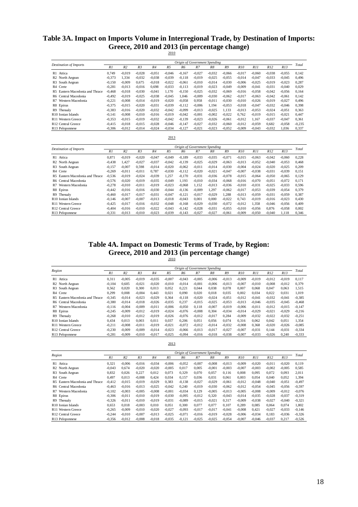# **Table 3A. Impact on Imports Volume in Interregional Trade, by Destination of Imports: Greece, 2010 and 2013 (in percentage change)** 2010

|                                             |          |                |                |          |                |                |          | Origin of Government Spending |          |          |          |          |          |          |
|---------------------------------------------|----------|----------------|----------------|----------|----------------|----------------|----------|-------------------------------|----------|----------|----------|----------|----------|----------|
| <b>Destination of Imports</b>               | R1       | R <sub>2</sub> | R <sub>3</sub> | R4       | R <sub>5</sub> | R6             | R7       | R8                            | R9       | R10      | R11      | R12      | R13      | Total    |
| R1 Attica                                   | 0.749    | $-0.019$       | $-0.028$       | $-0.051$ | $-0,046$       | $-0.167$       | $-0.027$ | $-0.032$                      | $-0.066$ | $-0.017$ | $-0.060$ | $-0.038$ | $-0,055$ | 0.142    |
| R <sub>2</sub> North Aegean                 | $-0.373$ | 1.334          | $-0.032$       | $-0.038$ | $-0.039$       | $-0.118$       | $-0.019$ | $-0.025$                      | $-0.055$ | $-0.014$ | $-0.047$ | $-0.033$ | $-0.045$ | 0.496    |
| R3 South Aegean                             | $-0.150$ | $-0,009$       | 0.675          | $-0.018$ | $-0.022$       | $-0.061$       | $-0.010$ | $-0.014$                      | $-0.030$ | $-0.006$ | $-0.025$ | $-0.019$ | $-0.023$ | 0,287    |
| R <sub>4</sub> Crete                        | $-0.281$ | $-0.013$       | $-0.016$       | 0.698    | $-0,033$       | $-0.113$       | $-0.019$ | $-0.023$                      | $-0.049$ | $-0.009$ | $-0.041$ | $-0.031$ | $-0.040$ | 0.029    |
| lastern Macedonia and Thrace<br><b>R5 E</b> | $-0.468$ | $-0.018$       | $-0.030$       | $-0.041$ | 1,170          | $-0,150$       | $-0.025$ | $-0.032$                      | $-0.069$ | $-0.016$ | $-0.058$ | $-0.042$ | $-0,056$ | 0,164    |
| R6 Central Macedonia                        | $-0.492$ | $-0.019$       | $-0.025$       | $-0.038$ | $-0.045$       | 1.046          | $-0.009$ | $-0.030$                      | $-0.062$ | $-0.017$ | $-0.063$ | $-0.042$ | $-0.061$ | 0.142    |
| Western Macedonia<br>R7                     | $-0.221$ | $-0.008$       | $-0.014$       | $-0.019$ | $-0,020$       | $-0.058$       | 0.958    | $-0.011$                      | $-0.030$ | $-0.010$ | $-0.026$ | $-0.019$ | $-0.027$ | 0.496    |
| R8 Epirus                                   | $-0.375$ | $-0.015$       | $-0.020$       | $-0.031$ | $-0,039$       | $-0.112$       | $-0.006$ | 1.194                         | $-0.053$ | $-0.018$ | $-0.047$ | $-0.032$ | $-0,046$ | 0,398    |
| R9 Thessalv                                 | $-0.383$ | $-0.016$       | $-0.020$       | $-0.032$ | $-0.042$       | $-0.099$       | $-0.013$ | $-0.025$                      | 1.133    | $-0.013$ | $-0.053$ | $-0.024$ | $-0.051$ | 0.363    |
| R10 Ionian Islands                          | $-0.141$ | $-0.008$       | $-0.010$       | $-0.016$ | $-0.019$       | $-0.042$       | $-0.001$ | $-0.002$                      | $-0.022$ | 0.762    | $-0.019$ | $-0.015$ | $-0.021$ | 0,447    |
| R <sub>11</sub> Western Greece              | $-0.353$ | $-0.015$       | $-0.019$       | $-0.032$ | $-0.042$       | $-0,139$       | $-0,023$ | $-0.026$                      | $-0,061$ | $-0.012$ | 1.167    | $-0.037$ | $-0.047$ | 0,361    |
| R <sub>12</sub> Central Greece              | $-0.415$ | $-0.018$       | $-0.015$       | $-0.028$ | $-0.046$       | $-0.147$       | $-0.027$ | $-0.032$                      | $-0.060$ | $-0.012$ | $-0.059$ | 0.682    | $-0.058$ | $-0,235$ |
| R13 Peloponnese                             | $-0.306$ | $-0.012$       | $-0.014$       | $-0.024$ | $-0,034$       | $-0,127$       | $-0,021$ | $-0.023$                      | $-0,052$ | $-0,009$ | $-0.043$ | $-0.032$ | 1,036    | 0,337    |
|                                             |          |                |                |          | 2013           |                |          |                               |          |          |          |          |          |          |
|                                             |          |                |                |          |                |                |          | Origin of Government Spending |          |          |          |          |          |          |
| <b>Destination of Imports</b>               | R1       | R <sub>2</sub> | R <sub>3</sub> | R4       | R <sub>5</sub> | R <sub>6</sub> | R7       | R8                            | R9       | R10      | R11      | R12      | R13      | Total    |
| R1 Attica                                   | 0.871    | $-0.019$       | $-0.020$       | $-0.047$ | $-0,049$       | $-0.189$       | $-0,033$ | $-0.035$                      | $-0.071$ | $-0.015$ | $-0.063$ | $-0.042$ | $-0,060$ | 0,228    |
| R <sub>2</sub> North Aegean                 | $-0.438$ | 1.427          | $-0,027$       | $-0.037$ | $-0.042$       | $-0,139$       | $-0.025$ | $-0.029$                      | $-0,063$ | $-0.013$ | $-0.052$ | $-0.040$ | $-0.053$ | 0,468    |
| R3 South Aegean                             | $-0.157$ | $-0.007$       | 0.598          | $-0.014$ | $-0.020$       | $-0.062$       | $-0.011$ | $-0.014$                      | $-0.030$ | $-0.004$ | $-0.024$ | $-0.020$ | $-0.025$ | 0,209    |
| R4 Crete                                    | $-0,269$ | $-0.011$       | $-0.011$       | 0.787    | $-0,030$       | $-0,112$       | $-0,020$ | $-0.021$                      | $-0.047$ | $-0.007$ | $-0.038$ | $-0.031$ | $-0,039$ | 0,151    |
| astern Macedonia and Thrace<br><b>R5 E</b>  | $-0.536$ | $-0.019$       | $-0,024$       | $-0.039$ | 1,257          | $-0,170$       | $-0,031$ | $-0.036$                      | $-0.078$ | $-0.015$ | $-0.064$ | $-0.050$ | $-0,065$ | 0,129    |
| <b>Central Macedonia</b><br>R6 C            | $-0.576$ | $-0.020$       | $-0.019$       | $-0.035$ | $-0.049$       | 1,193          | $-0.010$ | $-0.034$                      | $-0,068$ | $-0.016$ | $-0.070$ | $-0.051$ | $-0,072$ | 0,171    |
| R7 Western Macedonia                        | $-0.278$ | $-0.010$       | $-0.011$       | $-0.019$ | $-0,023$       | $-0,068$       | 1.152    | $-0.013$                      | $-0,036$ | $-0.010$ | $-0.031$ | $-0.025$ | $-0.033$ | 0,596    |
| R8 Epirus                                   | $-0.442$ | $-0.016$       | $-0.016$       | $-0.030$ | $-0.044$       | $-0.136$       | $-0,009$ | 1.297                         | $-0.062$ | $-0.017$ | $-0.053$ | $-0.039$ | $-0.054$ | 0,379    |
| R9 Thessaly                                 | $-0,460$ | $-0.017$       | $-0.017$       | $-0.031$ | $-0.047$       | $-0,121$       | $-0.017$ | $-0.029$                      | 1,288    | $-0.013$ | $-0.059$ | $-0.031$ | $-0.059$ | 0,387    |
| R10 Ionian Islands                          | $-0.146$ | $-0.007$       | $-0.007$       | $-0.013$ | $-0.018$       | $-0.043$       | 0.001    | 0.000                         | $-0.022$ | 0.743    | $-0.019$ | $-0.016$ | $-0.023$ | 0,430    |
| R <sub>11</sub> Western Greece              | $-0.425$ | $-0.017$       | $-0.016$       | $-0.032$ | $-0.048$       | $-0,168$       | $-0.029$ | $-0.030$                      | $-0.072$ | $-0.012$ | 1.358    | $-0.046$ | $-0,056$ | 0,409    |
| R12 Central Greece                          | $-0,404$ | $-0.016$       | $-0,010$       | $-0.022$ | $-0,043$       | $-0,142$       | $-0,028$ | $-0.031$                      | $-0.055$ | $-0.010$ | $-0.056$ | 0,876    | $-0,058$ | 0,002    |
| R13 Peloponnese                             | $-0.331$ | $-0.013$       | $-0.010$       | $-0.023$ | $-0.039$       | $-0,143$       | $-0.027$ | $-0.027$                      | $-0.061$ | $-0.009$ | $-0.050$ | $-0.040$ | 1.118    | 0,346    |

## **Table 4A. Impact on Domestic Terms of Trade, by Region: Greece, 2010 and 2013 (in percentage change)** 2010

|                                     |          |                |                |          |                |          | Origin of Government Spending |          |          |          |          |          |          |          |
|-------------------------------------|----------|----------------|----------------|----------|----------------|----------|-------------------------------|----------|----------|----------|----------|----------|----------|----------|
| Region                              | R1       | R <sub>2</sub> | R <sub>3</sub> | R4       | R <sub>5</sub> | R6       | R7                            | R8       | R9       | R10      | R11      | R12      | R13      | Total    |
| R1<br>Attica                        | 0.311    | $-0.005$       | $-0.019$       | $-0.035$ | $-0.007$       | $-0.043$ | $-0.005$                      | $-0.006$ | $-0.013$ | $-0.009$ | $-0.019$ | $-0.012$ | $-0.019$ | 0.117    |
| R <sub>2</sub> North Aegean         | $-0.104$ | 0.605          | $-0.021$       | $-0.020$ | $-0.010$       | $-0.014$ | $-0.001$                      | $-0.006$ | $-0.013$ | $-0.007$ | $-0.010$ | $-0.008$ | $-0.012$ | 0,379    |
| R3 South Aegean                     | 0.562    | 0.020          | 0.300          | 0.013    | 0.052          | 0.221    | 0.044                         | 0.038    | 0.078    | 0.007    | 0.068    | 0.047    | 0.063    | 1.515    |
| R <sub>4</sub> Crete                | 0.299    | 0.008          | $-0.004$       | 0.443    | 0.021          | 0,090    | 0.020                         | 0.018    | 0.035    | 0.002    | 0.034    | 0.022    | 0,031    | 1,019    |
| Eastern Macedonia and Thrace<br>R5. | $-0.345$ | $-0.014$       | $-0.023$       | $-0.029$ | 0.364          | $-0.118$ | $-0.020$                      | $-0.024$ | $-0.051$ | $-0.012$ | $-0.041$ | $-0.032$ | $-0.041$ | $-0.385$ |
| R6 Central Macedonia                | $-0.380$ | $-0.014$       | $-0.018$       | $-0.026$ | $-0.035$       | 0,237    | $-0.015$                      | $-0.025$ | $-0.053$ | $-0.013$ | $-0.046$ | $-0.035$ | $-0.045$ | $-0,468$ |
| Western Macedonia<br>R7             | $-0.116$ | $-0.004$       | $-0.009$       | $-0.011$ | $-0.006$       | $-0,050$ | 0.118                         | $-0.007$ | $-0.019$ | $-0.006$ | $-0.011$ | $-0.012$ | $-0.015$ | $-0,147$ |
| R8 Epirus                           | $-0.245$ | $-0.009$       | $-0.012$       | $-0.019$ | $-0.024$       | $-0.076$ | $-0.008$                      | 0.304    | $-0.034$ | $-0.014$ | $-0.029$ | $-0.021$ | $-0.029$ | $-0.216$ |
| R9<br>Thessaly                      | $-0,268$ | $-0.010$       | $-0.012$       | $-0.019$ | $-0.026$       | $-0.076$ | $-0.012$                      | $-0.017$ | 0.284    | $-0.009$ | $-0.032$ | $-0.022$ | $-0.032$ | $-0,251$ |
| R10 Ionian Islands                  | 0.434    | 0.013          | 0.003          | 0.011    | 0.037          | 0.206    | 0.051                         | 0.056    | 0.074    | 0.316    | 0.062    | 0.042    | 0.051    | 1,354    |
| R <sub>11</sub> Western Greece      | $-0.211$ | $-0.008$       | $-0.011$       | $-0.019$ | $-0.021$       | $-0.072$ | $-0.012$                      | $-0.014$ | $-0.032$ | $-0.008$ | 0.368    | $-0.020$ | $-0.026$ | $-0.085$ |
| R <sub>12</sub> Central Greece      | $-0.230$ | $-0.009$       | $-0.009$       | $-0.014$ | $-0.023$       | $-0.066$ | $-0.013$                      | $-0.017$ | $-0.027$ | $-0.007$ | $-0.031$ | 0.144    | $-0.031$ | $-0,334$ |
| R13 Peloponnese                     | $-0.281$ | $-0.009$       | $-0.010$       | $-0.017$ | $-0,025$       | $-0,094$ | $-0.016$                      | $-0.018$ | $-0.038$ | $-0,007$ | $-0.033$ | $-0.026$ | 0,240    | $-0,333$ |

2013

|                                 | Origin of Government Spending |                |                |          |          |          |          |          |          |          |          |          |          |          |
|---------------------------------|-------------------------------|----------------|----------------|----------|----------|----------|----------|----------|----------|----------|----------|----------|----------|----------|
| Region                          | R1                            | R <sub>2</sub> | R <sub>3</sub> | R4       | R5       | R6       | R7       | R8       | RQ       | R10      | R11      | R12      | R13      | Total    |
| R1 Attica                       | 0.321                         | $-0.006$       | $-0.016$       | $-0.034$ | $-0.006$ | $-0.052$ | $-0.007$ | $-0.008$ | $-0.013$ | $-0.009$ | $-0.020$ | $-0.011$ | $-0.020$ | 0.119    |
| R <sub>2</sub> North Aegean     | $-0.043$                      | 0.674          | $-0,020$       | $-0,020$ | $-0,005$ | 0,017    | 0.005    | $-0,001$ | $-0.003$ | $-0.007$ | $-0,003$ | $-0,002$ | $-0,005$ | 0,585    |
| R3 South Aegean                 | 0,832                         | 0.026          | 0.227          | 0.012    | 0.073    | 0.329    | 0.070    | 0.057    | 0.116    | 0.008    | 0.095    | 0.072    | 0.093    | 2,011    |
| R4 Crete                        | 0.497                         | 0.013          | $-0.008$       | 0.424    | 0.034    | 0.157    | 0.036    | 0.031    | 0.061    | 0.003    | 0.054    | 0.040    | 0.052    | 1,394    |
| R5 Eastern Macedonia and Thrace | $-0.412$                      | $-0.015$       | $-0.019$       | $-0.029$ | 0,383    | $-0.138$ | $-0.027$ | $-0.029$ | $-0.061$ | $-0.012$ | $-0.048$ | $-0.040$ | $-0.051$ | $-0.497$ |
| R6 Central Macedonia            | $-0.463$                      | $-0.016$       | $-0.013$       | $-0.025$ | $-0.042$ | 0.240    | $-0.019$ | $-0.030$ | $-0.062$ | $-0.012$ | $-0.054$ | $-0.045$ | $-0.056$ | $-0,597$ |
| Western Macedonia<br>R7         | $-0.102$                      | $-0.003$       | $-0.005$       | $-0.008$ | $-0.001$ | $-0.034$ | 0.129    | $-0.005$ | $-0.013$ | $-0.005$ | $-0.008$ | $-0.009$ | $-0.012$ | $-0.076$ |
| R8 Epirus                       | $-0,306$                      | $-0.011$       | $-0,010$       | $-0.019$ | $-0,030$ | $-0.095$ | $-0.012$ | 0.320    | $-0.043$ | $-0.014$ | $-0.035$ | $-0.028$ | $-0,037$ | $-0,319$ |
| R9 Thessalv                     | $-0.326$                      | $-0.011$       | $-0.010$       | $-0.019$ | $-0.031$ | $-0.089$ | $-0.015$ | $-0.021$ | 0.317    | $-0.009$ | $-0.038$ | $-0.027$ | $-0.040$ | $-0.321$ |
| R <sub>10</sub> Ionian Islands  | 0.653                         | 0.018          | $-0.003$       | 0.010    | 0.051    | 0.300    | 0.077    | 0.077    | 0.107    | 0.289    | 0.085    | 0.064    | 0.074    | 1.802    |
| R <sub>11</sub> Western Greece  | $-0.265$                      | $-0.009$       | $-0.010$       | $-0,020$ | $-0,027$ | $-0,093$ | $-0.017$ | $-0.017$ | $-0.041$ | $-0.008$ | 0.421    | $-0.027$ | $-0,033$ | $-0,146$ |
| R <sub>12</sub> Central Greece  | $-0.244$                      | $-0.010$       | $-0.007$       | $-0.013$ | $-0,025$ | $-0.071$ | $-0.016$ | $-0.019$ | $-0.028$ | $-0.006$ | $-0.034$ | 0.183    | $-0.036$ | $-0,326$ |
| R13 Peloponnese                 | $-0.356$                      | $-0.012$       | $-0.008$       | $-0.018$ | $-0.035$ | $-0.121$ | $-0.025$ | $-0.025$ | $-0.054$ | $-0,007$ | $-0.046$ | $-0.037$ | 0.217    | $-0,526$ |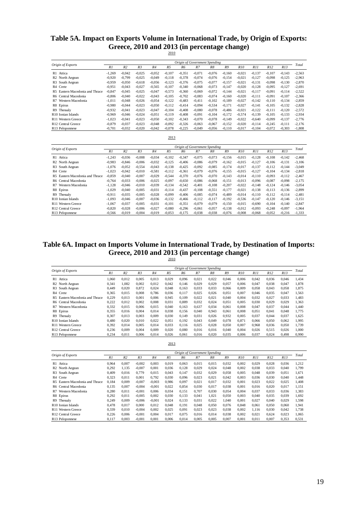# **Table 5A. Impact on Exports Volume in International Trade, by Origin of Exports: Greece, 2010 and 2013 (in percentage change)** 2010

|                                                     |          |                |                |          |                | Origin of Government Spending |          |          |          |          |          |          |          |          |
|-----------------------------------------------------|----------|----------------|----------------|----------|----------------|-------------------------------|----------|----------|----------|----------|----------|----------|----------|----------|
| Origin of Exports                                   | R1       | R <sub>2</sub> | R <sub>3</sub> | R4       | R <sub>5</sub> | R6                            | R7       | R8       | R9       | R10      | R11      | R12      | R13      | Total    |
| R1 Attica                                           | $-1.269$ | $-0.042$       | $-0.025$       | $-0.052$ | $-0.107$       | $-0.351$                      | $-0.071$ | $-0.076$ | $-0.160$ | $-0.021$ | $-0.137$ | $-0.107$ | $-0,143$ | $-2,563$ |
| R <sub>2</sub><br>North Aegean                      | $-0.920$ | $-0.799$       | $-0.025$       | $-0.049$ | $-0.118$       | $-0.378$                      | $-0.074$ | $-0.076$ | $-0.154$ | $-0.021$ | $-0.127$ | $-0.098$ | $-0.125$ | $-2,963$ |
| South Aegean<br>R <sub>3</sub>                      | $-0.959$ | $-0.050$       | $-0.618$       | $-0.056$ | $-0.123$       | $-0.376$                      | $-0.075$ | $-0.077$ | $-0.157$ | $-0.021$ | $-0.131$ | $-0.098$ | $-0,130$ | $-2,870$ |
| R4<br>Crete                                         | $-0.951$ | $-0.043$       | $-0,027$       | $-0.565$ | $-0,107$       | $-0,340$                      | $-0,068$ | $-0.073$ | $-0.147$ | $-0.020$ | $-0,128$ | $-0.095$ | $-0,127$ | $-2,691$ |
| lastern Macedonia and Thrace<br>R <sub>5</sub><br>F | $-0.847$ | $-0.045$       | $-0.025$       | $-0.047$ | $-0,573$       | $-0.360$                      | $-0.069$ | $-0.072$ | $-0.144$ | $-0.021$ | $-0.117$ | $-0.091$ | $-0,114$ | $-2,522$ |
| Tentral Macedonia<br>R6.                            | $-0.806$ | $-0.040$       | $-0,022$       | $-0.043$ | $-0,105$       | $-0,702$                      | $-0.083$ | $-0.074$ | $-0.160$ | $-0.020$ | $-0.111$ | $-0.091$ | $-0,107$ | $-2,366$ |
| Western Macedonia<br>R7                             | $-1,011$ | $-0.048$       | $-0,026$       | $-0.054$ | $-0,122$       | $-0,483$                      | $-0.411$ | $-0.102$ | $-0.189$ | $-0.027$ | $-0,142$ | $-0.110$ | $-0,134$ | $-2,859$ |
| R8 Epirus                                           | $-0.980$ | $-0.044$       | $-0,023$       | $-0.050$ | $-0,112$       | $-0.414$                      | $-0,094$ | $-0.534$ | $-0,171$ | $-0.027$ | $-0,141$ | $-0,105$ | $-0,132$ | $-2,828$ |
| R9<br>Thessaly                                      | $-0.932$ | $-0.041$       | $-0.023$       | $-0.047$ | $-0,104$       | $-0,408$                      | $-0,080$ | $-0.078$ | $-0.486$ | $-0.021$ | $-0.122$ | $-0.111$ | $-0,120$ | $-2,572$ |
| R <sub>10</sub> Ionian Islands                      | $-0.969$ | $-0.046$       | $-0,024$       | $-0.051$ | $-0,119$       | $-0,408$                      | $-0,091$ | $-0,104$ | $-0,172$ | $-0,574$ | $-0.139$ | $-0,105$ | $-0,133$ | $-2,934$ |
| R <sub>11</sub> Western Greece                      | $-1.023$ | $-0.041$       | $-0.023$       | $-0.050$ | $-0,102$       | $-0,343$                      | $-0.070$ | $-0.078$ | $-0.149$ | $-0.022$ | $-0.640$ | $-0.099$ | $-0,137$ | $-2,776$ |
| R <sub>12</sub> Central Greece                      | $-0.879$ | $-0.037$       | $-0,023$       | $-0.048$ | $-0,092$       | $-0,326$                      | $-0,063$ | $-0.067$ | $-0,152$ | $-0.020$ | $-0.114$ | $-0,245$ | $-0,111$ | $-2,176$ |
| R13 Peloponnese                                     | $-0,701$ | $-0.032$       | $-0.020$       | $-0.042$ | $-0.078$       | $-0,225$                      | $-0,049$ | $-0.056$ | $-0,110$ | $-0.017$ | $-0,104$ | $-0.072$ | $-0,303$ | $-1,808$ |
|                                                     |          |                |                |          | 2013           |                               |          |          |          |          |          |          |          |          |
|                                                     |          |                |                |          |                |                               |          |          |          |          |          |          |          |          |
| Origin of Exports                                   |          |                |                |          |                | Origin of Government Spending |          |          |          |          |          |          |          | Total    |
|                                                     | R1       | R <sub>2</sub> | R <sub>3</sub> | R4       | R <sub>5</sub> | R6                            | $R$ 7    | R8       | R9       | R10      | R11      | R12      | R13      |          |
| R1 Attica                                           | $-1.243$ | $-0.036$       | $-0.008$       | $-0.034$ | $-0.102$       | $-0.347$                      | $-0.075$ | $-0.073$ | $-0.156$ | $-0.015$ | $-0.128$ | $-0.108$ | $-0,142$ | $-2,468$ |
| R <sub>2</sub> North Aegean                         | $-0.983$ | $-0.846$       | $-0.006$       | $-0.032$ | $-0.125$       | $-0.406$                      | $-0.086$ | $-0.079$ | $-0,162$ | $-0.015$ | $-0.127$ | $-0.106$ | $-0,131$ | $-3,106$ |
| South Aegean<br>R3                                  | $-1.076$ | $-0.052$       | $-0.554$       | $-0.043$ | $-0.138$       | $-0.425$                      | $-0.092$ | $-0.085$ | $-0.174$ | $-0.017$ | $-0.137$ | $-0.112$ | $-0.144$ | $-3.049$ |
| R4<br>`rete                                         | $-1.023$ | $-0.042$       | $-0.010$       | $-0.581$ | $-0,112$       | $-0,361$                      | $-0,079$ | $-0.076$ | $-0.155$ | $-0.015$ | $-0.127$ | $-0,104$ | $-0,134$ | $-2,818$ |
| lastern Macedonia and Thrace<br>R <sub>5</sub>      | $-0.859$ | $-0.040$       | $-0,007$       | $-0,029$ | $-0,544$       | $-0,370$                      | $-0,076$ | $-0.070$ | $-0.143$ | $-0.014$ | $-0,110$ | $-0.093$ | $-0,112$ | $-2,467$ |
| Central Macedonia<br>R6.                            | $-0.764$ | $-0.033$       | $-0.006$       | $-0.025$ | $-0,097$       | $-0.650$                      | $-0.086$ | $-0.068$ | $-0.151$ | $-0.013$ | $-0.096$ | $-0.087$ | $-0,098$ | $-2,175$ |
| Western Macedonia<br>R7                             | $-1.128$ | $-0.046$       | $-0.010$       | $-0.039$ | $-0,134$       | $-0,542$                      | $-0.401$ | $-0.108$ | $-0.207$ | $-0.022$ | $-0.148$ | $-0,124$ | $-0,146$ | $-3,054$ |
| R8 Epirus                                           | $-1.029$ | $-0.040$       | $-0.005$       | $-0.031$ | $-0.114$       | $-0.437$                      | $-0.108$ | $-0.551$ | $-0.177$ | $-0.021$ | $-0.138$ | $-0.113$ | $-0.136$ | $-2,899$ |
| R9 Thessaly                                         | $-0.911$ | $-0.035$       | $-0.005$       | $-0.028$ | $-0,099$       | $-0.406$                      | $-0.085$ | $-0.074$ | $-0,489$ | $-0.014$ | $-0.110$ | $-0.112$ | $-0,114$ | $-2,481$ |
| R <sub>10</sub> Ionian Islands                      | $-1.093$ | $-0.046$       | $-0.007$       | $-0.036$ | $-0.132$       | $-0.466$                      | $-0.112$ | $-0.117$ | $-0.192$ | $-0.536$ | $-0.147$ | $-0.120$ | $-0.146$ | $-3.151$ |
| R <sub>11</sub> Western Greece                      | $-1.067$ | $-0.037$       | $-0,005$       | $-0.031$ | $-0,101$       | $-0.351$                      | $-0.079$ | $-0.079$ | $-0.150$ | $-0.015$ | $-0.690$ | $-0,104$ | $-0,140$ | $-2,847$ |
| R <sub>12</sub> Central Greece                      | $-0.820$ | $-0.028$       | $-0.006$       | $-0.027$ | $-0,080$       | $-0,296$                      | $-0,061$ | $-0.057$ | $-0.138$ | $-0.012$ | $-0.093$ | $-0,248$ | $-0,097$ | $-1,964$ |
| R13 Peloponnese                                     | $-0.566$ | $-0.019$       | $-0.004$       | $-0.019$ | $-0.053$       | $-0.175$                      | $-0.038$ | $-0.038$ | $-0.076$ | $-0.008$ | $-0.068$ | $-0.052$ | $-0.216$ | $-1,333$ |

## **Table 6A. Impact on Imports Volume in International Trade, by Destination of Imports: Greece, 2010 and 2013 (in percentage change)**

2010

| Origin of Exports                              | Origin of Government Spending |                |                |       |                |                |       |       |       |       |       |       | Total |       |
|------------------------------------------------|-------------------------------|----------------|----------------|-------|----------------|----------------|-------|-------|-------|-------|-------|-------|-------|-------|
|                                                | R1                            | R <sub>2</sub> | R <sub>3</sub> | R4    | R <sub>5</sub> | R <sub>6</sub> | $R$ 7 | R8    | R9    | R10   | R11   | R12   | R13   |       |
| Attica<br>R1                                   | 1.060                         | 0.012          | 0.005          | 0.013 | 0.029          | 0.096          | 0.021 | 0.022 | 0.046 | 0.006 | 0.042 | 0.036 | 0,046 | 1.434 |
| R <sub>2</sub> North Aegean                    | 0.341                         | 1.082          | 0,002          | 0.012 | 0.042          | 0.146          | 0.029 | 0.029 | 0.057 | 0.006 | 0.047 | 0.038 | 0.047 | 1,878 |
| South Aegean<br>R <sub>3</sub>                 | 0.449                         | 0.020          | 0.872          | 0.024 | 0.048          | 0.163          | 0.033 | 0.033 | 0.066 | 0.009 | 0.058 | 0.043 | 0.058 | 1.875 |
| R <sub>4</sub> Crete                           | 0,365                         | 0.015          | 0.008          | 0.786 | 0,036          | 0,117          | 0.025 | 0.026 | 0.051 | 0.007 | 0.046 | 0.035 | 0.047 | 1,563 |
| Eastern Macedonia and Thrace<br>R <sub>5</sub> | 0.229                         | 0.013          | 0.001          | 0.006 | 0,945          | 0.109          | 0.022 | 0.021 | 0.040 | 0.004 | 0.032 | 0.027 | 0,033 | 1,483 |
| Central Macedonia<br>R6.                       | 0.222                         | 0.012          | 0.002          | 0.008 | 0,031          | 0.889          | 0.032 | 0.024 | 0.051 | 0.005 | 0.030 | 0.029 | 0,029 | 1,363 |
| Western Macedonia<br>R7                        | 0.332                         | 0.015          | 0.006          | 0.015 | 0.040          | 0.163          | 0.637 | 0.034 | 0.061 | 0.008 | 0.047 | 0.037 | 0.044 | 1.440 |
| R8 Epirus                                      | 0,355                         | 0.016          | 0.004          | 0.014 | 0.038          | 0.156          | 0.040 | 0.943 | 0.061 | 0.008 | 0.051 | 0.041 | 0.048 | 1.775 |
| R9<br>Thessalv                                 | 0.307                         | 0.013          | 0.003          | 0.009 | 0.030          | 0.149          | 0.031 | 0.026 | 0.932 | 0.005 | 0.037 | 0.044 | 0.037 | 1.625 |
| R <sub>10</sub> Ionian Islands                 | 0.480                         | 0.020          | 0.010          | 0.022 | 0.051          | 0.192          | 0.043 | 0.049 | 0.078 | 0.871 | 0.066 | 0.050 | 0.062 | 1,995 |
| R <sub>11</sub> Western Greece                 | 0.392                         | 0.014          | 0.005          | 0.014 | 0.033          | 0.116          | 0.025 | 0.028 | 0.050 | 0.007 | 0.968 | 0.036 | 0.050 | 1,739 |
| R <sub>12</sub> Central Greece                 | 0.236                         | 0.009          | 0.004          | 0.009 | 0.020          | 0.080          | 0.016 | 0.016 | 0.040 | 0.004 | 0.026 | 0.515 | 0.026 | 1.000 |
| R13 Peloponnese                                | 0,234                         | 0,011          | 0.006          | 0,014 | 0,026          | 0,061          | 0,016 | 0.020 | 0,035 | 0,006 | 0,037 | 0,024 | 0,498 | 0,990 |
|                                                |                               |                |                |       | 2013           |                |       |       |       |       |       |       |       |       |

|                                 | Origin of Government Spending |                |                |          |       |       |       |       |       |                 |       |       |       |       |
|---------------------------------|-------------------------------|----------------|----------------|----------|-------|-------|-------|-------|-------|-----------------|-------|-------|-------|-------|
| Origin of Exports               | R1                            | R <sub>2</sub> | R <sub>3</sub> | R4       | R5    | R6    | R7    | R8    | R9    | R <sub>10</sub> | R11   | R12   | R13   | Total |
| R1 Attica                       | 0.964                         | 0.007          | $-0.002$       | 0.003    | 0.019 | 0.063 | 0.015 | 0.015 | 0.032 | 0.002           | 0.029 | 0.028 | 0.036 | 1,212 |
| R <sub>2</sub> North Aegean     | 0.292                         | 1.135          | $-0.007$       | 0.001    | 0.036 | 0.128 | 0.029 | 0.024 | 0.048 | 0.002           | 0.038 | 0.033 | 0.040 | 1.799 |
| R <sub>3</sub> South Aegean     | 0,409                         | 0.016          | 0.779          | 0.015    | 0,043 | 0,147 | 0,032 | 0.029 | 0.058 | 0.005           | 0.048 | 0,039 | 0,051 | 1,671 |
| R4 Crete                        | 0.323                         | 0.011          | 0.001          | 0.792    | 0.030 | 0.096 | 0.023 | 0.021 | 0.042 | 0.003           | 0.036 | 0.030 | 0.040 | 1,448 |
| R5 Eastern Macedonia and Thrace | 0.184                         | 0.009          | $-0.007$       | $-0.003$ | 0.986 | 0.097 | 0.021 | 0.017 | 0.032 | 0.001           | 0.023 | 0.022 | 0.025 | 1.408 |
| R6 Central Macedonia            | 0.135                         | 0.007          | $-0,004$       | $-0,001$ | 0,022 | 0,854 | 0,030 | 0.017 | 0,038 | 0,001           | 0,016 | 0.020 | 0,017 | 1,151 |
| R7 Western Macedonia            | 0.280                         | 0.011          | $-0.001$       | 0.006    | 0.034 | 0.151 | 0.707 | 0.030 | 0.054 | 0.004           | 0.037 | 0.033 | 0.036 | 1,383 |
| R8 Epirus                       | 0.292                         | 0.011          | $-0.005$       | 0.002    | 0.030 | 0.133 | 0.041 | 1.021 | 0.050 | 0.003           | 0.040 | 0.035 | 0.039 | 1,692 |
| R9 Thessaly                     | 0,249                         | 0.009          | $-0.006$       | $-0.001$ | 0.024 | 0.133 | 0.031 | 0.022 | 1.040 | 0.001           | 0.027 | 0.040 | 0,029 | 1,598 |
| R <sub>10</sub> Ionian Islands  | 0.478                         | 0.017          | 0.000          | 0.012    | 0.048 | 0.191 | 0.048 | 0.050 | 0.076 | 0.848           | 0.061 | 0.050 | 0.060 | 1,941 |
| R <sub>11</sub> Western Greece  | 0.339                         | 0.010          | $-0.004$       | 0.002    | 0.025 | 0.091 | 0.023 | 0.023 | 0.038 | 0.002           | 1.116 | 0.030 | 0.042 | 1,738 |
| R12 Central Greece              | 0.226                         | 0.006          | $-0.001$       | 0.004    | 0.017 | 0,075 | 0.016 | 0.014 | 0.038 | 0.002           | 0.021 | 0.624 | 0,023 | 1,065 |
| R13 Peloponnese                 | 0.117                         | 0.003          | $-0,001$       | 0.001    | 0.006 | 0,014 | 0,005 | 0.005 | 0,007 | 0,001           | 0,011 | 0,007 | 0,353 | 0,531 |